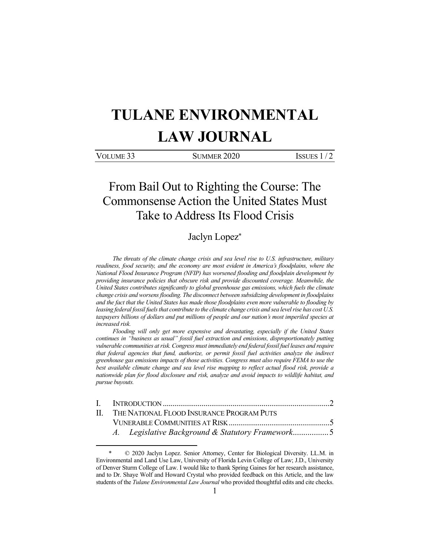# **TULANE ENVIRONMENTAL LAW JOURNAL**

VOLUME 33 SUMMER 2020 ISSUES 1/2

# From Bail Out to Righting the Course: The Commonsense Action the United States Must Take to Address Its Flood Crisis

# Jaclyn Lopez\*

*The threats of the climate change crisis and sea level rise to U.S. infrastructure, military readiness, food security, and the economy are most evident in America's floodplains, where the National Flood Insurance Program (NFIP) has worsened flooding and floodplain development by providing insurance policies that obscure risk and provide discounted coverage. Meanwhile, the United States contributes significantly to global greenhouse gas emissions, which fuels the climate change crisis and worsens flooding. The disconnect between subsidizing development in floodplains and the fact that the United States has made those floodplains even more vulnerable to flooding by leasing federal fossil fuels that contribute to the climate change crisis and sea level rise has cost U.S.*  taxpayers billions of dollars and put millions of people and our nation's most imperiled species at *increased risk.* 

*Flooding will only get more expensive and devastating, especially if the United States continues in "business as usual" fossil fuel extraction and emissions, disproportionately putting vulnerable communities at risk. Congress must immediately end federal fossil fuel leases and require that federal agencies that fund, authorize, or permit fossil fuel activities analyze the indirect greenhouse gas emissions impacts of those activities. Congress must also require FEMA to use the best available climate change and sea level rise mapping to reflect actual flood risk, provide a nationwide plan for flood disclosure and risk, analyze and avoid impacts to wildlife habitat, and pursue buyouts.* 

| II. THE NATIONAL FLOOD INSURANCE PROGRAM PUTS |  |  |
|-----------------------------------------------|--|--|
|                                               |  |  |

 $© 2020$  Jaclyn Lopez. Senior Attorney, Center for Biological Diversity. LL.M. in Environmental and Land Use Law, University of Florida Levin College of Law; J.D., University of Denver Sturm College of Law. I would like to thank Spring Gaines for her research assistance, and to Dr. Shaye Wolf and Howard Crystal who provided feedback on this Article, and the law students of the *Tulane Environmental Law Journal* who provided thoughtful edits and cite checks.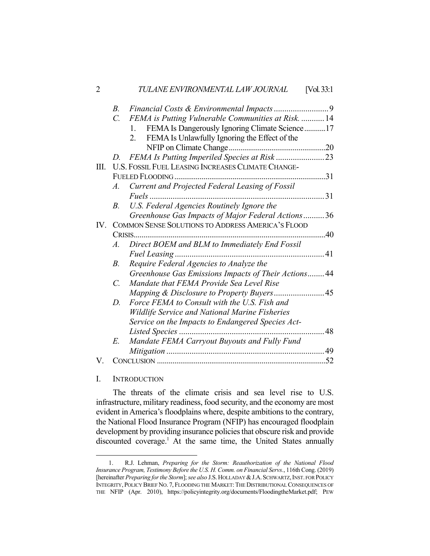| $\overline{2}$ |                       | TULANE ENVIRONMENTAL LAW JOURNAL                     | [Vol. 33:1] |
|----------------|-----------------------|------------------------------------------------------|-------------|
|                | $B_{\cdot}$           |                                                      |             |
|                | $C_{\cdot}$           | FEMA is Putting Vulnerable Communities at Risk.  14  |             |
|                |                       | FEMA Is Dangerously Ignoring Climate Science17<br>1. |             |
|                |                       | FEMA Is Unlawfully Ignoring the Effect of the<br>2.  |             |
|                |                       |                                                      |             |
|                | D.                    |                                                      |             |
| Ш.             |                       | U.S. FOSSIL FUEL LEASING INCREASES CLIMATE CHANGE-   |             |
|                |                       |                                                      | .31         |
|                | A.                    | Current and Projected Federal Leasing of Fossil      |             |
|                |                       |                                                      |             |
|                | $B_{\cdot}$           | U.S. Federal Agencies Routinely Ignore the           |             |
|                |                       | Greenhouse Gas Impacts of Major Federal Actions36    |             |
| IV.            |                       | COMMON SENSE SOLUTIONS TO ADDRESS AMERICA'S FLOOD    |             |
|                |                       | 40                                                   |             |
|                | $\mathcal{A}_{\cdot}$ | Direct BOEM and BLM to Immediately End Fossil        |             |
|                |                       |                                                      |             |
|                | $B_{\cdot}$           | Require Federal Agencies to Analyze the              |             |
|                |                       | Greenhouse Gas Emissions Impacts of Their Actions 44 |             |
|                | $C_{\cdot}$           | Mandate that FEMA Provide Sea Level Rise             |             |
|                |                       |                                                      |             |
|                | D.                    | Force FEMA to Consult with the U.S. Fish and         |             |
|                |                       | Wildlife Service and National Marine Fisheries       |             |
|                |                       | Service on the Impacts to Endangered Species Act-    |             |
|                |                       |                                                      | 48          |
|                | E.                    | Mandate FEMA Carryout Buyouts and Fully Fund         |             |
|                |                       |                                                      | 49          |
| V.             |                       |                                                      | .52         |
|                |                       |                                                      |             |

### I. INTRODUCTION

 The threats of the climate crisis and sea level rise to U.S. infrastructure, military readiness, food security, and the economy are most evident in America's floodplains where, despite ambitions to the contrary, the National Flood Insurance Program (NFIP) has encouraged floodplain development by providing insurance policies that obscure risk and provide discounted coverage.<sup>1</sup> At the same time, the United States annually

 <sup>1.</sup> R.J. Lehman, *Preparing for the Storm: Reauthorization of the National Flood Insurance Program, Testimony Before the U.S. H. Comm. on Financial Servs.*, 116th Cong. (2019) [hereinafter *Preparing for the Storm*]; *see also* J.S.HOLLADAY &J.A.SCHWARTZ,INST. FOR POLICY INTEGRITY, POLICY BRIEF NO. 7, FLOODING THE MARKET: THE DISTRIBUTIONAL CONSEQUENCES OF THE NFIP (Apr. 2010), https://policyintegrity.org/documents/FloodingtheMarket.pdf; PEW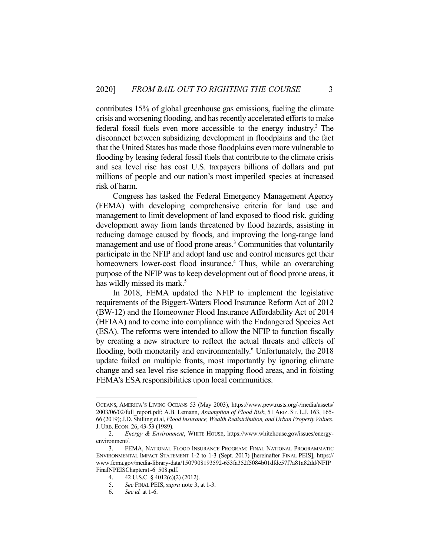contributes 15% of global greenhouse gas emissions, fueling the climate crisis and worsening flooding, and has recently accelerated efforts to make federal fossil fuels even more accessible to the energy industry.<sup>2</sup> The disconnect between subsidizing development in floodplains and the fact that the United States has made those floodplains even more vulnerable to flooding by leasing federal fossil fuels that contribute to the climate crisis and sea level rise has cost U.S. taxpayers billions of dollars and put millions of people and our nation's most imperiled species at increased risk of harm.

 Congress has tasked the Federal Emergency Management Agency (FEMA) with developing comprehensive criteria for land use and management to limit development of land exposed to flood risk, guiding development away from lands threatened by flood hazards, assisting in reducing damage caused by floods, and improving the long-range land management and use of flood prone areas.<sup>3</sup> Communities that voluntarily participate in the NFIP and adopt land use and control measures get their homeowners lower-cost flood insurance.<sup>4</sup> Thus, while an overarching purpose of the NFIP was to keep development out of flood prone areas, it has wildly missed its mark.<sup>5</sup>

 In 2018, FEMA updated the NFIP to implement the legislative requirements of the Biggert-Waters Flood Insurance Reform Act of 2012 (BW-12) and the Homeowner Flood Insurance Affordability Act of 2014 (HFIAA) and to come into compliance with the Endangered Species Act (ESA). The reforms were intended to allow the NFIP to function fiscally by creating a new structure to reflect the actual threats and effects of flooding, both monetarily and environmentally.<sup>6</sup> Unfortunately, the 2018 update failed on multiple fronts, most importantly by ignoring climate change and sea level rise science in mapping flood areas, and in foisting FEMA's ESA responsibilities upon local communities.

OCEANS, AMERICA'S LIVING OCEANS 53 (May 2003), https://www.pewtrusts.org/-/media/assets/ 2003/06/02/full\_report.pdf; A.B. Lemann, *Assumption of Flood Risk*, 51 ARIZ. ST. L.J. 163, 165- 66 (2019); J.D. Shilling et al, *Flood Insurance, Wealth Redistribution, and Urban Property Values*. J. URB. ECON. 26, 43-53 (1989).

 <sup>2.</sup> *Energy & Environment*, WHITE HOUSE, https://www.whitehouse.gov/issues/energyenvironment/.

 <sup>3.</sup> FEMA, NATIONAL FLOOD INSURANCE PROGRAM: FINAL NATIONAL PROGRAMMATIC ENVIRONMENTAL IMPACT STATEMENT 1-2 to 1-3 (Sept. 2017) [hereinafter FINAL PEIS], https:// www.fema.gov/media-library-data/1507908193592-653fa352f5084b01dfdc57f7a81a82dd/NFIP FinalNPEISChapters1-6\_508.pdf.

<sup>4. 42</sup> U.S.C. § 4012(c)(2) (2012).<br>5. See FINAL PEIS. *supra* note 3,

 <sup>5.</sup> *See* FINAL PEIS,*supra* note 3, at 1-3.

 <sup>6.</sup> *See id.* at 1-6.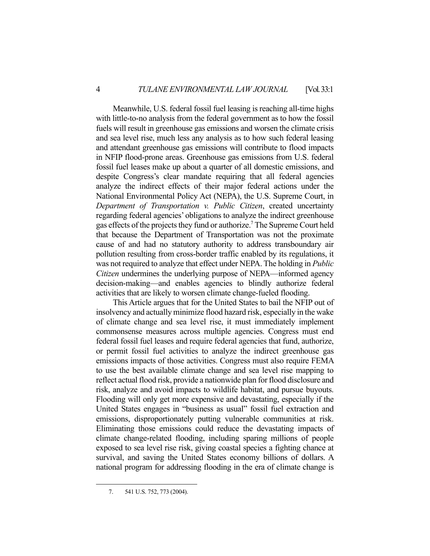Meanwhile, U.S. federal fossil fuel leasing is reaching all-time highs with little-to-no analysis from the federal government as to how the fossil fuels will result in greenhouse gas emissions and worsen the climate crisis and sea level rise, much less any analysis as to how such federal leasing and attendant greenhouse gas emissions will contribute to flood impacts in NFIP flood-prone areas. Greenhouse gas emissions from U.S. federal fossil fuel leases make up about a quarter of all domestic emissions, and despite Congress's clear mandate requiring that all federal agencies analyze the indirect effects of their major federal actions under the National Environmental Policy Act (NEPA), the U.S. Supreme Court, in *Department of Transportation v. Public Citizen*, created uncertainty regarding federal agencies' obligations to analyze the indirect greenhouse gas effects of the projects they fund or authorize.<sup>7</sup> The Supreme Court held that because the Department of Transportation was not the proximate cause of and had no statutory authority to address transboundary air pollution resulting from cross-border traffic enabled by its regulations, it was not required to analyze that effect under NEPA. The holding in *Public Citizen* undermines the underlying purpose of NEPA—informed agency decision-making—and enables agencies to blindly authorize federal activities that are likely to worsen climate change-fueled flooding.

 This Article argues that for the United States to bail the NFIP out of insolvency and actually minimize flood hazard risk, especially in the wake of climate change and sea level rise, it must immediately implement commonsense measures across multiple agencies. Congress must end federal fossil fuel leases and require federal agencies that fund, authorize, or permit fossil fuel activities to analyze the indirect greenhouse gas emissions impacts of those activities. Congress must also require FEMA to use the best available climate change and sea level rise mapping to reflect actual flood risk, provide a nationwide plan for flood disclosure and risk, analyze and avoid impacts to wildlife habitat, and pursue buyouts. Flooding will only get more expensive and devastating, especially if the United States engages in "business as usual" fossil fuel extraction and emissions, disproportionately putting vulnerable communities at risk. Eliminating those emissions could reduce the devastating impacts of climate change-related flooding, including sparing millions of people exposed to sea level rise risk, giving coastal species a fighting chance at survival, and saving the United States economy billions of dollars. A national program for addressing flooding in the era of climate change is

 <sup>7. 541</sup> U.S. 752, 773 (2004).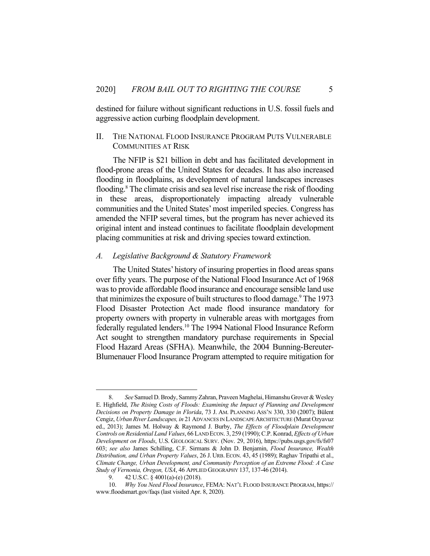destined for failure without significant reductions in U.S. fossil fuels and aggressive action curbing floodplain development.

### II. THE NATIONAL FLOOD INSURANCE PROGRAM PUTS VULNERABLE COMMUNITIES AT RISK

 The NFIP is \$21 billion in debt and has facilitated development in flood-prone areas of the United States for decades. It has also increased flooding in floodplains, as development of natural landscapes increases flooding.<sup>8</sup> The climate crisis and sea level rise increase the risk of flooding in these areas, disproportionately impacting already vulnerable communities and the United States' most imperiled species. Congress has amended the NFIP several times, but the program has never achieved its original intent and instead continues to facilitate floodplain development placing communities at risk and driving species toward extinction.

#### *A. Legislative Background & Statutory Framework*

 The United States' history of insuring properties in flood areas spans over fifty years. The purpose of the National Flood Insurance Act of 1968 was to provide affordable flood insurance and encourage sensible land use that minimizes the exposure of built structures to flood damage.<sup>9</sup> The 1973 Flood Disaster Protection Act made flood insurance mandatory for property owners with property in vulnerable areas with mortgages from federally regulated lenders.<sup>10</sup> The 1994 National Flood Insurance Reform Act sought to strengthen mandatory purchase requirements in Special Flood Hazard Areas (SFHA). Meanwhile, the 2004 Bunning-Bereuter-Blumenauer Flood Insurance Program attempted to require mitigation for

 <sup>8.</sup> *See* Samuel D. Brody, Sammy Zahran, Praveen Maghelai, Himanshu Grover & Wesley E. Highfield, *The Rising Costs of Floods: Examining the Impact of Planning and Development Decisions on Property Damage in Florida*, 73 J. AM. PLANNING ASS'N 330, 330 (2007); Bülent Cengiz, *Urban River Landscapes, in* 21 ADVANCES IN LANDSCAPE ARCHITECTURE (Murat Ozyavuz ed., 2013); James M. Holway & Raymond J. Burby, *The Effects of Floodplain Development Controls on Residential Land Values*, 66 LAND ECON. 3, 259 (1990); C.P. Konrad, *Effects of Urban Development on Floods*, U.S. GEOLOGICAL SURV. (Nov. 29, 2016), https://pubs.usgs.gov/fs/fs07 603; *see also* James Schilling, C.F. Sirmans & John D. Benjamin, *Flood Insurance, Wealth Distribution, and Urban Property Values*, 26 J. URB. ECON. 43, 45 (1989); Raghav Tripathi et al., *Climate Change, Urban Development, and Community Perception of an Extreme Flood: A Case Study of Vernonia, Oregon, USA*, 46 APPLIED GEOGRAPHY 137, 137-46 (2014).

 <sup>9. 42</sup> U.S.C. § 4001(a)-(e) (2018).

 <sup>10.</sup> *Why You Need Flood Insurance*, FEMA: NAT'L FLOOD INSURANCE PROGRAM, https:// www.floodsmart.gov/faqs (last visited Apr. 8, 2020).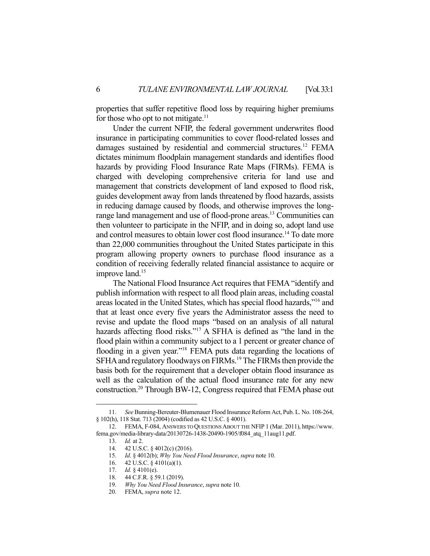properties that suffer repetitive flood loss by requiring higher premiums for those who opt to not mitigate. $<sup>11</sup>$ </sup>

 Under the current NFIP, the federal government underwrites flood insurance in participating communities to cover flood-related losses and damages sustained by residential and commercial structures.<sup>12</sup> FEMA dictates minimum floodplain management standards and identifies flood hazards by providing Flood Insurance Rate Maps (FIRMs). FEMA is charged with developing comprehensive criteria for land use and management that constricts development of land exposed to flood risk, guides development away from lands threatened by flood hazards, assists in reducing damage caused by floods, and otherwise improves the longrange land management and use of flood-prone areas.<sup>13</sup> Communities can then volunteer to participate in the NFIP, and in doing so, adopt land use and control measures to obtain lower cost flood insurance.<sup>14</sup> To date more than 22,000 communities throughout the United States participate in this program allowing property owners to purchase flood insurance as a condition of receiving federally related financial assistance to acquire or improve land.<sup>15</sup>

 The National Flood Insurance Act requires that FEMA "identify and publish information with respect to all flood plain areas, including coastal areas located in the United States, which has special flood hazards,"16 and that at least once every five years the Administrator assess the need to revise and update the flood maps "based on an analysis of all natural hazards affecting flood risks."<sup>17</sup> A SFHA is defined as "the land in the flood plain within a community subject to a 1 percent or greater chance of flooding in a given year."<sup>18</sup> FEMA puts data regarding the locations of SFHA and regulatory floodways on FIRMs.<sup>19</sup> The FIRMs then provide the basis both for the requirement that a developer obtain flood insurance as well as the calculation of the actual flood insurance rate for any new construction.20 Through BW-12, Congress required that FEMA phase out

 <sup>11.</sup> *See* Bunning-Bereuter-Blumenauer Flood Insurance Reform Act, Pub. L. No. 108-264, § 102(h), 118 Stat. 713 (2004) (codified as 42 U.S.C. § 4001).

 <sup>12.</sup> FEMA, F-084, ANSWERS TO QUESTIONS ABOUT THE NFIP 1 (Mar. 2011), https://www. fema.gov/media-library-data/20130726-1438-20490-1905/f084\_atq\_11aug11.pdf.

 <sup>13.</sup> *Id.* at 2.

 <sup>14. 42</sup> U.S.C. § 4012(c) (2016).

 <sup>15.</sup> *Id*. § 4012(b); *Why You Need Flood Insurance*, *supra* note 10.

 <sup>16. 42</sup> U.S.C. § 4101(a)(1).

 <sup>17.</sup> *Id.* § 4101(e).

 <sup>18. 44</sup> C.F.R. § 59.1 (2019).

 <sup>19.</sup> *Why You Need Flood Insurance*, *supra* note 10.

 <sup>20.</sup> FEMA, *supra* note 12.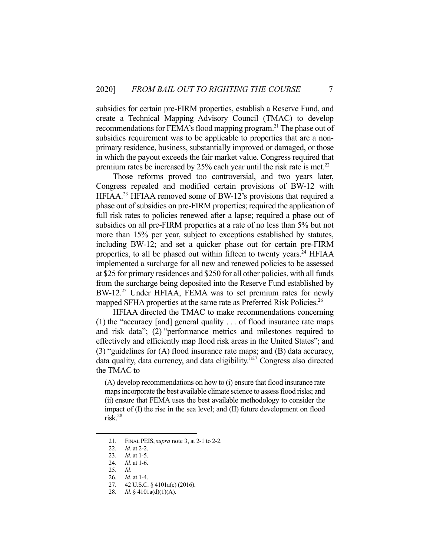subsidies for certain pre-FIRM properties, establish a Reserve Fund, and create a Technical Mapping Advisory Council (TMAC) to develop recommendations for FEMA's flood mapping program.<sup>21</sup> The phase out of subsidies requirement was to be applicable to properties that are a nonprimary residence, business, substantially improved or damaged, or those in which the payout exceeds the fair market value. Congress required that premium rates be increased by 25% each year until the risk rate is met.<sup>22</sup>

 Those reforms proved too controversial, and two years later, Congress repealed and modified certain provisions of BW-12 with HFIAA.23 HFIAA removed some of BW-12's provisions that required a phase out of subsidies on pre-FIRM properties; required the application of full risk rates to policies renewed after a lapse; required a phase out of subsidies on all pre-FIRM properties at a rate of no less than 5% but not more than 15% per year, subject to exceptions established by statutes, including BW-12; and set a quicker phase out for certain pre-FIRM properties, to all be phased out within fifteen to twenty years.<sup>24</sup> HFIAA implemented a surcharge for all new and renewed policies to be assessed at \$25 for primary residences and \$250 for all other policies, with all funds from the surcharge being deposited into the Reserve Fund established by BW-12.<sup>25</sup> Under HFIAA, FEMA was to set premium rates for newly mapped SFHA properties at the same rate as Preferred Risk Policies.<sup>26</sup>

 HFIAA directed the TMAC to make recommendations concerning (1) the "accuracy [and] general quality . . . of flood insurance rate maps and risk data"; (2) "performance metrics and milestones required to effectively and efficiently map flood risk areas in the United States"; and (3) "guidelines for (A) flood insurance rate maps; and (B) data accuracy, data quality, data currency, and data eligibility."27 Congress also directed the TMAC to

(A) develop recommendations on how to (i) ensure that flood insurance rate maps incorporate the best available climate science to assess flood risks; and (ii) ensure that FEMA uses the best available methodology to consider the impact of (I) the rise in the sea level; and (II) future development on flood risk.28

 <sup>21.</sup> FINAL PEIS,*supra* note 3, at 2-1 to 2-2.

 <sup>22.</sup> *Id.* at 2-2.

 <sup>23.</sup> *Id*. at 1-5.

 <sup>24.</sup> *Id.* at 1-6.

 <sup>25.</sup> *Id.*

 <sup>26.</sup> *Id.* at 1-4.

 <sup>27. 42</sup> U.S.C. § 4101a(c) (2016).

 <sup>28.</sup> *Id.* § 4101a(d)(1)(A).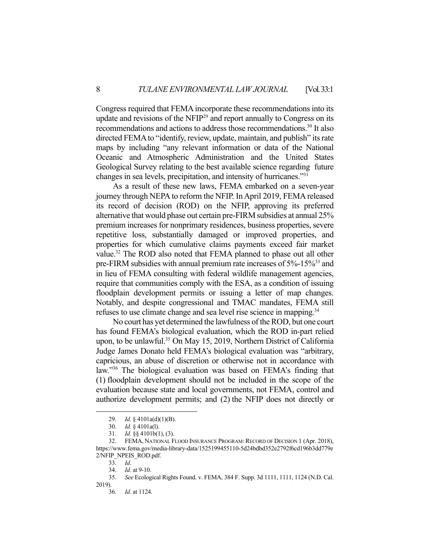Congress required that FEMA incorporate these recommendations into its update and revisions of the NFIP29 and report annually to Congress on its recommendations and actions to address those recommendations.<sup>30</sup> It also directed FEMA to "identify, review, update, maintain, and publish" its rate maps by including "any relevant information or data of the National Oceanic and Atmospheric Administration and the United States Geological Survey relating to the best available science regarding future changes in sea levels, precipitation, and intensity of hurricanes."31

 As a result of these new laws, FEMA embarked on a seven-year journey through NEPA to reform the NFIP. In April 2019, FEMA released its record of decision (ROD) on the NFIP, approving its preferred alternative that would phase out certain pre-FIRM subsidies at annual 25% premium increases for nonprimary residences, business properties, severe repetitive loss, substantially damaged or improved properties, and properties for which cumulative claims payments exceed fair market value.<sup>32</sup> The ROD also noted that FEMA planned to phase out all other pre-FIRM subsidies with annual premium rate increases of 5%-15%33 and in lieu of FEMA consulting with federal wildlife management agencies, require that communities comply with the ESA, as a condition of issuing floodplain development permits or issuing a letter of map changes. Notably, and despite congressional and TMAC mandates, FEMA still refuses to use climate change and sea level rise science in mapping.<sup>34</sup>

 No court has yet determined the lawfulness of the ROD, but one court has found FEMA's biological evaluation, which the ROD in-part relied upon, to be unlawful.<sup>35</sup> On May 15, 2019, Northern District of California Judge James Donato held FEMA's biological evaluation was "arbitrary, capricious, an abuse of discretion or otherwise not in accordance with law."36 The biological evaluation was based on FEMA's finding that (1) floodplain development should not be included in the scope of the evaluation because state and local governments, not FEMA, control and authorize development permits; and (2) the NFIP does not directly or

 <sup>29.</sup> *Id.* § 4101a(d)(1)(B).

 <sup>30.</sup> *Id.* § 4101a(l).

 <sup>31.</sup> *Id.* §§ 4101b(1), (3).

 <sup>32.</sup> FEMA, NATIONAL FLOOD INSURANCE PROGRAM: RECORD OF DECISION 1 (Apr. 2018), https://www.fema.gov/media-library-data/1525199455110-5d24bdbd352e2792f6cd196b3dd779e 2/NFIP\_NPEIS\_ROD.pdf.

 <sup>33.</sup> *Id*.

 <sup>34.</sup> *Id.* at 9-10.

 <sup>35.</sup> *See* Ecological Rights Found. v. FEMA, 384 F. Supp. 3d 1111, 1111, 1124 (N.D. Cal. 2019).

 <sup>36.</sup> *Id.* at 1124.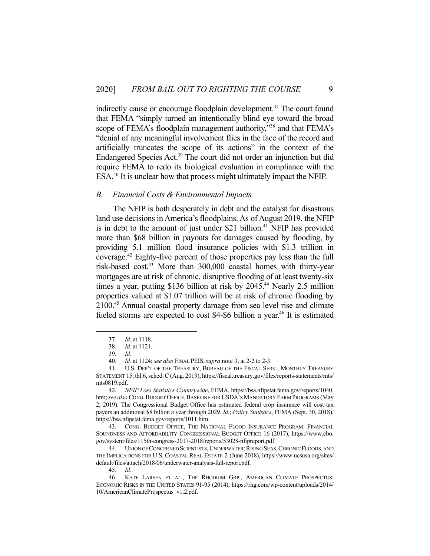indirectly cause or encourage floodplain development.<sup>37</sup> The court found that FEMA "simply turned an intentionally blind eye toward the broad scope of FEMA's floodplain management authority,"<sup>38</sup> and that FEMA's "denial of any meaningful involvement flies in the face of the record and artificially truncates the scope of its actions" in the context of the Endangered Species Act.39 The court did not order an injunction but did require FEMA to redo its biological evaluation in compliance with the ESA.40 It is unclear how that process might ultimately impact the NFIP.

#### *B. Financial Costs & Environmental Impacts*

 The NFIP is both desperately in debt and the catalyst for disastrous land use decisions in America's floodplains. As of August 2019, the NFIP is in debt to the amount of just under \$21 billion.<sup>41</sup> NFIP has provided more than \$68 billion in payouts for damages caused by flooding, by providing 5.1 million flood insurance policies with \$1.3 trillion in coverage.42 Eighty-five percent of those properties pay less than the full risk-based cost.<sup>43</sup> More than 300,000 coastal homes with thirty-year mortgages are at risk of chronic, disruptive flooding of at least twenty-six times a year, putting \$136 billion at risk by 2045.<sup>44</sup> Nearly 2.5 million properties valued at \$1.07 trillion will be at risk of chronic flooding by 2100.45 Annual coastal property damage from sea level rise and climate fueled storms are expected to cost  $$4-$6$  billion a year.<sup>46</sup> It is estimated

 42. *NFIP Loss Statistics Countrywide*, FEMA, https://bsa.nfipstat.fema.gov/reports/1040. htm; see also CONG. BUDGET OFFICE, BASELINE FOR USDA'S MANDATORY FARM PROGRAMS (May 2, 2019). The Congressional Budget Office has estimated federal crop insurance will cost tax payers an additional \$8 billion a year through 2029. *Id*.; *Policy Statistics*, FEMA (Sept. 30, 2018), https://bsa.nfipstat.fema.gov/reports/1011.htm.

 43. CONG. BUDGET OFFICE, THE NATIONAL FLOOD INSURANCE PROGRAM: FINANCIAL SOUNDNESS AND AFFORDABILITY CONGRESSIONAL BUDGET OFFICE 16 (2017), https://www.cbo. gov/system/files/115th-congress-2017-2018/reports/53028-nfipreport.pdf.

44. UNION OF CONCERNED SCIENTISTS, UNDERWATER: RISING SEAS, CHRONIC FLOODS, AND THE IMPLICATIONS FOR U.S. COASTAL REAL ESTATE 2 (June 2018), https://www.ucsusa.org/sites/ default/files/attach/2018/06/underwater-analysis-full-report.pdf.

 <sup>37.</sup> *Id.* at 1118.

 <sup>38.</sup> *Id*. at 1121.

 <sup>39.</sup> *Id.* 

 <sup>40.</sup> *Id.* at 1124; *see also* FINAL PEIS,*supra* note 3, at 2-2 to 2-3.

 <sup>41.</sup> U.S. DEP'T OF THE TREASURY, BUREAU OF THE FISCAL SERV., MONTHLY TREASURY STATEMENT 15, tbl.6, sched. C (Aug. 2019), https://fiscal.treasury.gov/files/reports-statements/mts/ mts0819.pdf.

 <sup>45.</sup> *Id.*

 <sup>46.</sup> KATE LARSEN ET AL., THE RHODIUM GRP., AMERICAN CLIMATE PROSPECTUS: ECONOMIC RISKS IN THE UNITED STATES 91-95 (2014), https://rhg.com/wp-content/uploads/2014/ 10/AmericanClimateProspectus\_v1.2.pdf.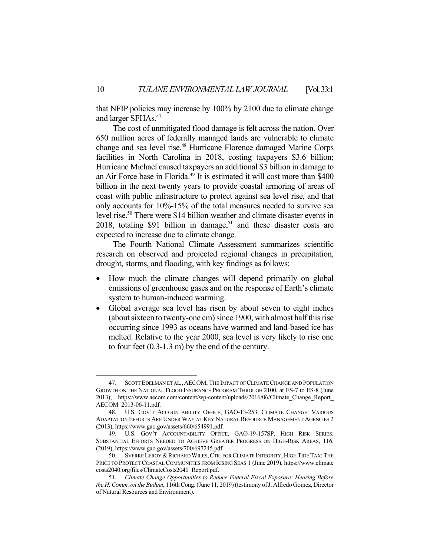that NFIP policies may increase by 100% by 2100 due to climate change and larger SFHAs.47

 The cost of unmitigated flood damage is felt across the nation. Over 650 million acres of federally managed lands are vulnerable to climate change and sea level rise.<sup>48</sup> Hurricane Florence damaged Marine Corps facilities in North Carolina in 2018, costing taxpayers \$3.6 billion; Hurricane Michael caused taxpayers an additional \$3 billion in damage to an Air Force base in Florida.49 It is estimated it will cost more than \$400 billion in the next twenty years to provide coastal armoring of areas of coast with public infrastructure to protect against sea level rise, and that only accounts for 10%-15% of the total measures needed to survive sea level rise.<sup>50</sup> There were \$14 billion weather and climate disaster events in 2018, totaling \$91 billion in damage,<sup>51</sup> and these disaster costs are expected to increase due to climate change.

 The Fourth National Climate Assessment summarizes scientific research on observed and projected regional changes in precipitation, drought, storms, and flooding, with key findings as follows:

- How much the climate changes will depend primarily on global emissions of greenhouse gases and on the response of Earth's climate system to human-induced warming.
- Global average sea level has risen by about seven to eight inches (about sixteen to twenty-one cm) since 1900, with almost half this rise occurring since 1993 as oceans have warmed and land-based ice has melted. Relative to the year 2000, sea level is very likely to rise one to four feet (0.3-1.3 m) by the end of the century.

 <sup>47.</sup> SCOTT EDELMAN ET AL*.*,AECOM, THE IMPACT OF CLIMATE CHANGE AND POPULATION GROWTH ON THE NATIONAL FLOOD INSURANCE PROGRAM THROUGH 2100, at ES-7 to ES-8 (June 2013), https://www.aecom.com/content/wp-content/uploads/2016/06/Climate\_Change\_Report\_ AECOM\_2013-06-11.pdf.

 <sup>48.</sup> U.S. GOV'T ACCOUNTABILITY OFFICE, GAO-13-253, CLIMATE CHANGE: VARIOUS ADAPTATION EFFORTS ARE UNDER WAY AT KEY NATURAL RESOURCE MANAGEMENT AGENCIES 2 (2013), https://www.gao.gov/assets/660/654991.pdf.

 <sup>49.</sup> U.S. GOV'T ACCOUNTABILITY OFFICE, GAO-19-157SP, HIGH RISK SERIES: SUBSTANTIAL EFFORTS NEEDED TO ACHIEVE GREATER PROGRESS ON HIGH-RISK AREAS, 116, (2019), https://www.gao.gov/assets/700/697245.pdf.

<sup>50.</sup> SVERRE LEROY & RICHARD WILES, CTR. FOR CLIMATE INTEGRITY, HIGH TIDE TAX: THE PRICE TO PROTECT COASTAL COMMUNITIES FROM RISING SEAS 1 (June 2019), https://www.climate costs2040.org/files/ClimateCosts2040\_Report.pdf.

 <sup>51.</sup> *Climate Change Opportunities to Reduce Federal Fiscal Exposure: Hearing Before the H. Comm. on the Budget*, 116th Cong. (June 11, 2019) (testimony of J. Alfredo Gomez, Director of Natural Resources and Environment).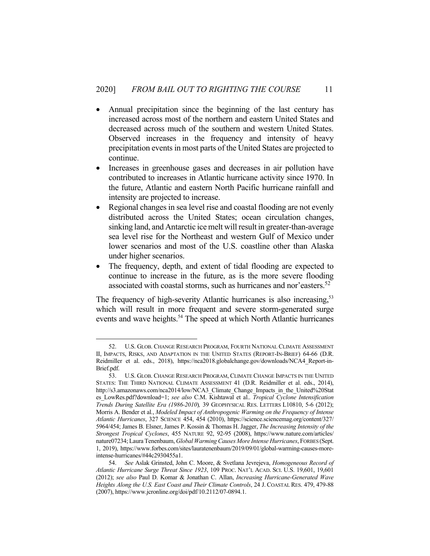- Annual precipitation since the beginning of the last century has increased across most of the northern and eastern United States and decreased across much of the southern and western United States. Observed increases in the frequency and intensity of heavy precipitation events in most parts of the United States are projected to continue.
- Increases in greenhouse gases and decreases in air pollution have contributed to increases in Atlantic hurricane activity since 1970. In the future, Atlantic and eastern North Pacific hurricane rainfall and intensity are projected to increase.
- Regional changes in sea level rise and coastal flooding are not evenly distributed across the United States; ocean circulation changes, sinking land, and Antarctic ice melt will result in greater-than-average sea level rise for the Northeast and western Gulf of Mexico under lower scenarios and most of the U.S. coastline other than Alaska under higher scenarios.
- The frequency, depth, and extent of tidal flooding are expected to continue to increase in the future, as is the more severe flooding associated with coastal storms, such as hurricanes and nor'easters.<sup>52</sup>

The frequency of high-severity Atlantic hurricanes is also increasing,<sup>53</sup> which will result in more frequent and severe storm-generated surge events and wave heights.<sup>54</sup> The speed at which North Atlantic hurricanes

 <sup>52.</sup> U.S. GLOB. CHANGE RESEARCH PROGRAM, FOURTH NATIONAL CLIMATE ASSESSMENT II, IMPACTS, RISKS, AND ADAPTATION IN THE UNITED STATES (REPORT-IN-BRIEF) 64-66 (D.R. Reidmiller et al. eds., 2018), https://nca2018.globalchange.gov/downloads/NCA4\_Report-in-Brief.pdf.

 <sup>53.</sup> U.S. GLOB. CHANGE RESEARCH PROGRAM, CLIMATE CHANGE IMPACTS IN THE UNITED STATES: THE THIRD NATIONAL CLIMATE ASSESSMENT 41 (D.R. Reidmiller et al. eds., 2014), http://s3.amazonaws.com/nca2014/low/NCA3\_Climate\_Change\_Impacts\_in\_the\_United%20Stat es\_LowRes.pdf?download=1; *see also* C.M. Kishtawal et al.. *Tropical Cyclone Intensification Trends During Satellite Era (1986-2010*)*,* 39 GEOPHYSICAL RES. LETTERS L10810, 5-6 (2012); Morris A. Bender et al*.*, *Modeled Impact of Anthropogenic Warming on the Frequency of Intense Atlantic Hurricanes*, 327 SCIENCE 454, 454 (2010), https://science.sciencemag.org/content/327/ 5964/454; James B. Elsner, James P. Kossin & Thomas H. Jagger, *The Increasing Intensity of the Strongest Tropical Cyclones*, 455 NATURE 92, 92-95 (2008), https://www.nature.com/articles/ nature07234; Laura Tenenbaum, *Global Warming Causes More Intense Hurricanes*, FORBES (Sept. 1, 2019), https://www.forbes.com/sites/lauratenenbaum/2019/09/01/global-warming-causes-moreintense-hurricanes/#44c2930455a1.

 <sup>54.</sup> *See* Aslak Grinsted, John C. Moore, & Svetlana Jevrejeva, *Homogeneous Record of Atlantic Hurricane Surge Threat Since 1923*, 109 PROC. NAT'L ACAD. SCI. U.S. 19,601, 19,601 (2012); *see also* Paul D. Komar & Jonathan C. Allan, *Increasing Hurricane-Generated Wave Heights Along the U.S. East Coast and Their Climate Controls*, 24 J. COASTAL RES. 479, 479-88 (2007), https://www.jcronline.org/doi/pdf/10.2112/07-0894.1.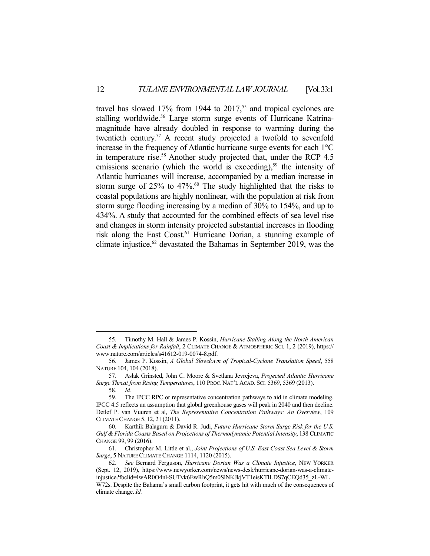travel has slowed  $17\%$  from 1944 to  $2017$ ,<sup>55</sup> and tropical cyclones are stalling worldwide.<sup>56</sup> Large storm surge events of Hurricane Katrinamagnitude have already doubled in response to warming during the twentieth century.<sup>57</sup> A recent study projected a twofold to sevenfold increase in the frequency of Atlantic hurricane surge events for each 1°C in temperature rise.<sup>58</sup> Another study projected that, under the RCP 4.5 emissions scenario (which the world is exceeding),<sup>59</sup> the intensity of Atlantic hurricanes will increase, accompanied by a median increase in storm surge of  $25\%$  to  $47\%$ .<sup>60</sup> The study highlighted that the risks to coastal populations are highly nonlinear, with the population at risk from storm surge flooding increasing by a median of 30% to 154%, and up to 434%. A study that accounted for the combined effects of sea level rise and changes in storm intensity projected substantial increases in flooding risk along the East Coast.<sup>61</sup> Hurricane Dorian, a stunning example of climate injustice, $62$  devastated the Bahamas in September 2019, was the

 <sup>55.</sup> Timothy M. Hall & James P. Kossin, *Hurricane Stalling Along the North American Coast & Implications for Rainfall*, 2 CLIMATE CHANGE & ATMOSPHERIC SCI*.* 1, 2 (2019), https:// www.nature.com/articles/s41612-019-0074-8.pdf.

 <sup>56.</sup> James P. Kossin, *A Global Slowdown of Tropical-Cyclone Translation Speed*, 558 NATURE 104, 104 (2018).

 <sup>57.</sup> Aslak Grinsted, John C. Moore & Svetlana Jevrejeva, *Projected Atlantic Hurricane Surge Threat from Rising Temperatures*, 110 PROC. NAT'L ACAD. SCI*.* 5369, 5369 (2013). 58. *Id.*

 <sup>59.</sup> The IPCC RPC or representative concentration pathways to aid in climate modeling. IPCC 4.5 reflects an assumption that global greenhouse gases will peak in 2040 and then decline. Detlef P. van Vuuren et al, *The Representative Concentration Pathways: An Overview*, 109 CLIMATE CHANGE 5, 12, 21 (2011).

 <sup>60.</sup> Karthik Balaguru & David R. Judi, *Future Hurricane Storm Surge Risk for the U.S. Gulf & Florida Coasts Based on Projections of Thermodynamic Potential Intensity*, 138 CLIMATIC CHANGE 99, 99 (2016).

 <sup>61.</sup> Christopher M. Little et al., *Joint Projections of U.S. East Coast Sea Level & Storm Surge*, 5 NATURE CLIMATE CHANGE 1114, 1120 (2015).

 <sup>62.</sup> *See* Bernard Ferguson, *Hurricane Dorian Was a Climate Injustice*, NEW YORKER (Sept. 12, 2019), https://www.newyorker.com/news/news-desk/hurricane-dorian-was-a-climateinjustice?fbclid=IwAR0O4nl-SUTvk6EwRhQ5m0SlNKJkjVT1eisKTlLDS7qCEQd35\_zL-WL W72s. Despite the Bahama's small carbon footprint, it gets hit with much of the consequences of climate change. *Id.*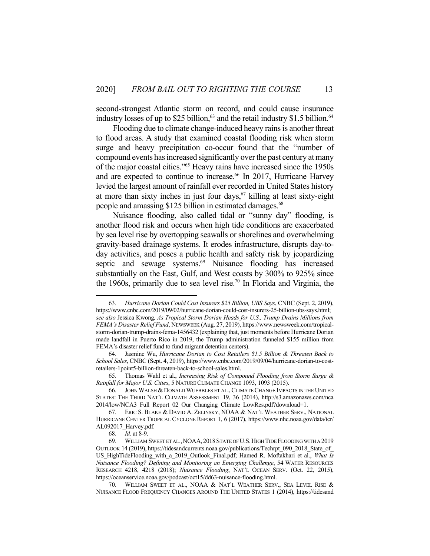second-strongest Atlantic storm on record, and could cause insurance industry losses of up to \$25 billion, $63$  and the retail industry \$1.5 billion. $64$ 

 Flooding due to climate change-induced heavy rains is another threat to flood areas. A study that examined coastal flooding risk when storm surge and heavy precipitation co-occur found that the "number of compound events has increased significantly over the past century at many of the major coastal cities."65 Heavy rains have increased since the 1950s and are expected to continue to increase.<sup>66</sup> In 2017, Hurricane Harvey levied the largest amount of rainfall ever recorded in United States history at more than sixty inches in just four days, $67$  killing at least sixty-eight people and amassing \$125 billion in estimated damages.<sup>68</sup>

 Nuisance flooding, also called tidal or "sunny day" flooding, is another flood risk and occurs when high tide conditions are exacerbated by sea level rise by overtopping seawalls or shorelines and overwhelming gravity-based drainage systems. It erodes infrastructure, disrupts day-today activities, and poses a public health and safety risk by jeopardizing septic and sewage systems.<sup>69</sup> Nuisance flooding has increased substantially on the East, Gulf, and West coasts by 300% to 925% since the 1960s, primarily due to sea level rise.<sup>70</sup> In Florida and Virginia, the

 <sup>63.</sup> *Hurricane Dorian Could Cost Insurers \$25 Billion, UBS Says*, CNBC (Sept. 2, 2019), https://www.cnbc.com/2019/09/02/hurricane-dorian-could-cost-insurers-25-billion-ubs-says.html; *see also* Jessica Kwong*, As Tropical Storm Dorian Heads for U.S., Trump Drains Millions from FEMA's Disaster Relief Fund*, NEWSWEEK (Aug. 27, 2019), https://www.newsweek.com/tropicalstorm-dorian-trump-drains-fema-1456432 (explaining that, just moments before Hurricane Dorian made landfall in Puerto Rico in 2019, the Trump administration funneled \$155 million from FEMA's disaster relief fund to fund migrant detention centers).

 <sup>64.</sup> Jasmine Wu, *Hurricane Dorian to Cost Retailers \$1.5 Billion & Threaten Back to School Sales*, CNBC (Sept. 4, 2019), https://www.cnbc.com/2019/09/04/hurricane-dorian-to-costretailers-1point5-billion-threaten-back-to-school-sales.html.

 <sup>65.</sup> Thomas Wahl et al., *Increasing Risk of Compound Flooding from Storm Surge & Rainfall for Major U.S. Cities*, 5 NATURE CLIMATE CHANGE 1093, 1093 (2015).

 <sup>66.</sup> JOHN WALSH & DONALD WUEBBLES ET AL.,CLIMATE CHANGE IMPACTS IN THE UNITED STATES: THE THIRD NAT'L CLIMATE ASSESSMENT 19, 36 (2014), http://s3.amazonaws.com/nca 2014/low/NCA3\_Full\_Report\_02\_Our\_Changing\_Climate\_LowRes.pdf?download=1.

 <sup>67.</sup> ERIC S. BLAKE & DAVID A. ZELINSKY, NOAA & NAT'L WEATHER SERV., NATIONAL HURRICANE CENTER TROPICAL CYCLONE REPORT 1, 6 (2017), https://www.nhc.noaa.gov/data/tcr/ AL092017\_Harvey.pdf.

 <sup>68.</sup> *Id.* at 8-9.

 <sup>69.</sup> WILLIAM SWEET ET AL.,NOAA, 2018STATE OF U.S.HIGH TIDE FLOODING WITH A 2019 OUTLOOK 14 (2019), https://tidesandcurrents.noaa.gov/publications/Techrpt 090 2018 State of US\_HighTideFlooding\_with\_a\_2019\_Outlook\_Final.pdf; Hamed R. Moftakhari et al., *What Is Nuisance Flooding? Defining and Monitoring an Emerging Challenge*, 54 WATER RESOURCES RESEARCH 4218, 4218 (2018); *Nuisance Flooding*, NAT'L OCEAN SERV. (Oct. 22, 2015), https://oceanservice.noaa.gov/podcast/oct15/dd63-nuisance-flooding.html.

 <sup>70.</sup> WILLIAM SWEET ET AL., NOAA & NAT'L WEATHER SERV., SEA LEVEL RISE & NUISANCE FLOOD FREQUENCY CHANGES AROUND THE UNITED STATES 1 (2014), https://tidesand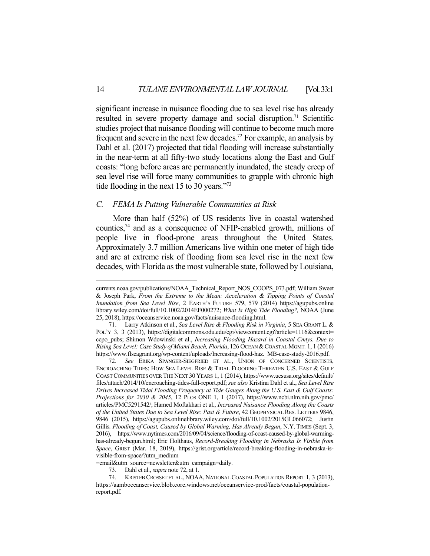significant increase in nuisance flooding due to sea level rise has already resulted in severe property damage and social disruption.<sup>71</sup> Scientific studies project that nuisance flooding will continue to become much more frequent and severe in the next few decades.<sup>72</sup> For example, an analysis by Dahl et al. (2017) projected that tidal flooding will increase substantially in the near-term at all fifty-two study locations along the East and Gulf coasts: "long before areas are permanently inundated, the steady creep of sea level rise will force many communities to grapple with chronic high tide flooding in the next 15 to 30 years."<sup>73</sup>

#### *C. FEMA Is Putting Vulnerable Communities at Risk*

 More than half (52%) of US residents live in coastal watershed counties,<sup>74</sup> and as a consequence of NFIP-enabled growth, millions of people live in flood-prone areas throughout the United States. Approximately 3.7 million Americans live within one meter of high tide and are at extreme risk of flooding from sea level rise in the next few decades, with Florida as the most vulnerable state, followed by Louisiana,

currents.noaa.gov/publications/NOAA\_Technical\_Report\_NOS\_COOPS\_073.pdf; William Sweet & Joseph Park, *From the Extreme to the Mean: Acceleration & Tipping Points of Coastal Inundation from Sea Level Rise*, 2 EARTH'S FUTURE 579, 579 (2014) https://agupubs.online library.wiley.com/doi/full/10.1002/2014EF000272; *What Is High Tide Flooding?,* NOAA (June 25, 2018), https://oceanservice.noaa.gov/facts/nuisance-flooding.html.

 <sup>71.</sup> Larry Atkinson et al., *Sea Level Rise & Flooding Risk in Virginia*, 5 SEA GRANT L. & POL'Y 3, 3 (2013), https://digitalcommons.odu.edu/cgi/viewcontent.cgi?article=1116&context= ccpo\_pubs; Shimon Wdowinski et al., *Increasing Flooding Hazard in Coastal Cmtys. Due to Rising Sea Level: Case Study of Miami Beach, Florida*, 126 OCEAN &COASTAL MGMT*.* 1, 1 (2016) https://www.flseagrant.org/wp-content/uploads/Increasing-flood-haz.\_MB-case-study-2016.pdf.

 <sup>72.</sup> *See* ERIKA SPANGER-SIEGFRIED ET AL., UNION OF CONCERNED SCIENTISTS, ENCROACHING TIDES: HOW SEA LEVEL RISE & TIDAL FLOODING THREATEN U.S. EAST & GULF COAST COMMUNITIES OVER THE NEXT 30 YEARS 1, 1 (2014), https://www.ucsusa.org/sites/default/ files/attach/2014/10/encroaching-tides-full-report.pdf; *see also* Kristina Dahl et al., *Sea Level Rise Drives Increased Tidal Flooding Frequency at Tide Gauges Along the U.S. East & Gulf Coasts: Projections for 2030 & 2045*, 12 PLOS ONE 1, 1 (2017), https://www.ncbi.nlm.nih.gov/pmc/ articles/PMC5291542/; Hamed Moftakhari et al., *Increased Nuisance Flooding Along the Coasts of the United States Due to Sea Level Rise: Past & Future*, 42 GEOPHYSICAL RES. LETTERS 9846, 9846 (2015), https://agupubs.onlinelibrary.wiley.com/doi/full/10.1002/2015GL066072; Justin Gillis*, Flooding of Coast, Caused by Global Warming, Has Already Begun*, N.Y. TIMES (Sept. 3, 2016), https://www.nytimes.com/2016/09/04/science/flooding-of-coast-caused-by-global-warminghas-already-begun.html; Eric Holthaus, *Record-Breaking Flooding in Nebraska Is Visible from Space*, GRIST (Mar. 18, 2019), https://grist.org/article/record-breaking-flooding-in-nebraska-isvisible-from-space/?utm\_medium

<sup>=</sup>email&utm\_source=newsletter&utm\_campaign=daily.

 <sup>73.</sup> Dahl et al., *supra* note 72, at 1.

 <sup>74.</sup> KRISTEB CROSSET ET AL., NOAA, NATIONAL COASTAL POPULATION REPORT 1, 3 (2013), https://aamboceanservice.blob.core.windows.net/oceanservice-prod/facts/coastal-populationreport.pdf.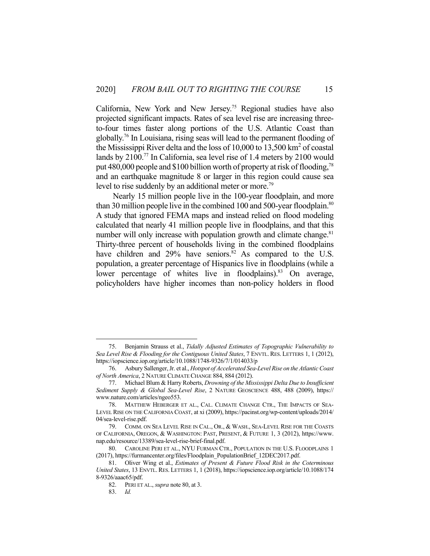California, New York and New Jersey.75 Regional studies have also projected significant impacts. Rates of sea level rise are increasing threeto-four times faster along portions of the U.S. Atlantic Coast than globally.76 In Louisiana, rising seas will lead to the permanent flooding of the Mississippi River delta and the loss of  $10,000$  to  $13,500$  km<sup>2</sup> of coastal lands by 2100.<sup>77</sup> In California, sea level rise of 1.4 meters by 2100 would put 480,000 people and \$100 billion worth of property at risk of flooding,<sup>78</sup> and an earthquake magnitude 8 or larger in this region could cause sea level to rise suddenly by an additional meter or more.<sup>79</sup>

 Nearly 15 million people live in the 100-year floodplain, and more than 30 million people live in the combined 100 and 500-year floodplain.<sup>80</sup> A study that ignored FEMA maps and instead relied on flood modeling calculated that nearly 41 million people live in floodplains, and that this number will only increase with population growth and climate change.<sup>81</sup> Thirty-three percent of households living in the combined floodplains have children and  $29\%$  have seniors.<sup>82</sup> As compared to the U.S. population, a greater percentage of Hispanics live in floodplains (while a lower percentage of whites live in floodplains).<sup>83</sup> On average, policyholders have higher incomes than non-policy holders in flood

 <sup>75.</sup> Benjamin Strauss et al., *Tidally Adjusted Estimates of Topographic Vulnerability to Sea Level Rise & Flooding for the Contiguous United States*, 7 ENVTL. RES. LETTERS 1, 1 (2012), https://iopscience.iop.org/article/10.1088/1748-9326/7/1/014033/p

 <sup>76.</sup> Asbury Sallenger, Jr. et al., *Hotspot of Accelerated Sea-Level Rise on the Atlantic Coast of North America*, 2 NATURE CLIMATE CHANGE 884, 884 (2012).

 <sup>77.</sup> Michael Blum & Harry Roberts, *Drowning of the Mississippi Delta Due to Insufficient Sediment Supply & Global Sea-Level Rise*, 2 NATURE GEOSCIENCE 488, 488 (2009), https:// www.nature.com/articles/ngeo553.

 <sup>78.</sup> MATTHEW HEBERGER ET AL., CAL. CLIMATE CHANGE CTR., THE IMPACTS OF SEA-LEVEL RISE ON THE CALIFORNIA COAST, at xi (2009), https://pacinst.org/wp-content/uploads/2014/ 04/sea-level-rise.pdf.

 <sup>79.</sup> COMM. ON SEA LEVEL RISE IN CAL., OR., & WASH., SEA-LEVEL RISE FOR THE COASTS OF CALIFORNIA, OREGON, & WASHINGTON: PAST, PRESENT, & FUTURE 1, 3 (2012), https://www. nap.edu/resource/13389/sea-level-rise-brief-final.pdf.

 <sup>80.</sup> CAROLINE PERI ET AL., NYU FURMAN CTR., POPULATION IN THE U.S. FLOODPLAINS 1 (2017), https://furmancenter.org/files/Floodplain\_PopulationBrief\_12DEC2017.pdf.

 <sup>81.</sup> Oliver Wing et al., *Estimates of Present & Future Flood Risk in the Coterminous United States*, 13 ENVTL. RES. LETTERS 1, 1 (2018), https://iopscience.iop.org/article/10.1088/174 8-9326/aaac65/pdf.

 <sup>82.</sup> PERI ET AL., *supra* note 80, at 3.

 <sup>83.</sup> *Id.*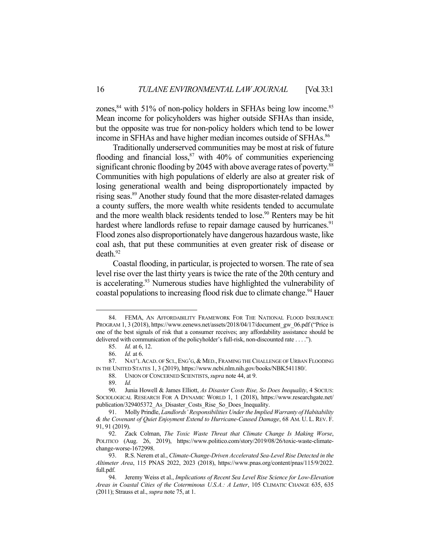zones,  $84$  with 51% of non-policy holders in SFHAs being low income.  $85$ Mean income for policyholders was higher outside SFHAs than inside, but the opposite was true for non-policy holders which tend to be lower income in SFHAs and have higher median incomes outside of SFHAs. 86

 Traditionally underserved communities may be most at risk of future flooding and financial loss, $87$  with 40% of communities experiencing significant chronic flooding by 2045 with above average rates of poverty.<sup>88</sup> Communities with high populations of elderly are also at greater risk of losing generational wealth and being disproportionately impacted by rising seas.<sup>89</sup> Another study found that the more disaster-related damages a county suffers, the more wealth white residents tended to accumulate and the more wealth black residents tended to lose.<sup>90</sup> Renters may be hit hardest where landlords refuse to repair damage caused by hurricanes.<sup>91</sup> Flood zones also disproportionately have dangerous hazardous waste, like coal ash, that put these communities at even greater risk of disease or  $death.<sup>92</sup>$ 

 Coastal flooding, in particular, is projected to worsen. The rate of sea level rise over the last thirty years is twice the rate of the 20th century and is accelerating.<sup>93</sup> Numerous studies have highlighted the vulnerability of coastal populations to increasing flood risk due to climate change.<sup>94</sup> Hauer

 <sup>84.</sup> FEMA, AN AFFORDABILITY FRAMEWORK FOR THE NATIONAL FLOOD INSURANCE PROGRAM 1, 3 (2018), https://www.eenews.net/assets/2018/04/17/document\_gw\_06.pdf ("Price is one of the best signals of risk that a consumer receives; any affordability assistance should be delivered with communication of the policyholder's full-risk, non-discounted rate . . . .").

 <sup>85.</sup> *Id.* at 6, 12.

 <sup>86.</sup> *Id.* at 6.

 <sup>87.</sup> NAT'L ACAD. OF SCI.,ENG'G,& MED., FRAMING THE CHALLENGE OF URBAN FLOODING IN THE UNITED STATES 1, 3 (2019), https://www.ncbi.nlm.nih.gov/books/NBK541180/.

 <sup>88.</sup> UNION OF CONCERNED SCIENTISTS,*supra* note 44, at 9.

 <sup>89.</sup> *Id.*

<sup>90.</sup> Junia Howell & James Elliott, *As Disaster Costs Rise, So Does Inequality*, 4 SOCIUS: SOCIOLOGICAL RESEARCH FOR A DYNAMIC WORLD 1, 1 (2018), https://www.researchgate.net/ publication/329405372\_As\_Disaster\_Costs\_Rise\_So\_Does\_Inequality.

 <sup>91.</sup> Molly Prindle, *Landlords' Responsibilities Under the Implied Warranty of Habitability & the Covenant of Quiet Enjoyment Extend to Hurricane-Caused Damage*, 68 AM. U. L. REV. F. 91, 91 (2019).

 <sup>92.</sup> Zack Colman, *The Toxic Waste Threat that Climate Change Is Making Worse*, POLITICO (Aug. 26, 2019), https://www.politico.com/story/2019/08/26/toxic-waste-climatechange-worse-1672998.

 <sup>93.</sup> R.S. Nerem et al., *Climate-Change-Driven Accelerated Sea-Level Rise Detected in the Altimeter Area*, 115 PNAS 2022, 2023 (2018), https://www.pnas.org/content/pnas/115/9/2022. full.pdf.

 <sup>94.</sup> Jeremy Weiss et al., *Implications of Recent Sea Level Rise Science for Low-Elevation Areas in Coastal Cities of the Coterminous U.S.A.: A Letter*, 105 CLIMATIC CHANGE 635, 635 (2011); Strauss et al., *supra* note 75, at 1.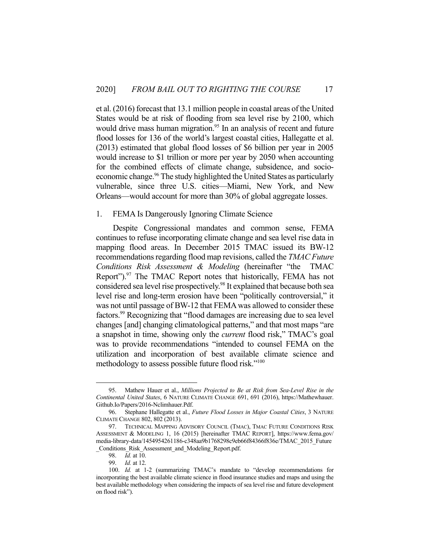et al. (2016) forecast that 13.1 million people in coastal areas of the United States would be at risk of flooding from sea level rise by 2100, which would drive mass human migration.<sup>95</sup> In an analysis of recent and future flood losses for 136 of the world's largest coastal cities, Hallegatte et al. (2013) estimated that global flood losses of \$6 billion per year in 2005 would increase to \$1 trillion or more per year by 2050 when accounting for the combined effects of climate change, subsidence, and socioeconomic change.<sup>96</sup> The study highlighted the United States as particularly vulnerable, since three U.S. cities—Miami, New York, and New Orleans—would account for more than 30% of global aggregate losses.

#### 1. FEMA Is Dangerously Ignoring Climate Science

 Despite Congressional mandates and common sense, FEMA continues to refuse incorporating climate change and sea level rise data in mapping flood areas. In December 2015 TMAC issued its BW-12 recommendations regarding flood map revisions, called the *TMAC Future Conditions Risk Assessment & Modeling* (hereinafter "the TMAC Report").<sup>97</sup> The TMAC Report notes that historically, FEMA has not considered sea level rise prospectively.<sup>98</sup> It explained that because both sea level rise and long-term erosion have been "politically controversial," it was not until passage of BW-12 that FEMA was allowed to consider these factors.99 Recognizing that "flood damages are increasing due to sea level changes [and] changing climatological patterns," and that most maps "are a snapshot in time, showing only the *current* flood risk," TMAC's goal was to provide recommendations "intended to counsel FEMA on the utilization and incorporation of best available climate science and methodology to assess possible future flood risk."<sup>100</sup>

 <sup>95.</sup> Mathew Hauer et al., *Millions Projected to Be at Risk from Sea-Level Rise in the Continental United States*, 6 NATURE CLIMATE CHANGE 691, 691 (2016), https://Mathewhauer. Github.Io/Papers/2016-Nclimhauer.Pdf.

 <sup>96.</sup> Stephane Hallegatte et al., *Future Flood Losses in Major Coastal Cities*, 3 NATURE CLIMATE CHANGE 802, 802 (2013).

 <sup>97.</sup> TECHNICAL MAPPING ADVISORY COUNCIL (TMAC), TMAC FUTURE CONDITIONS RISK ASSESSMENT & MODELING 1, 16 (2015) [hereinafter TMAC REPORT], https://www.fema.gov/ media-library-data/1454954261186-c348aa9b1768298c9eb66f84366f836e/TMAC\_2015\_Future \_Conditions\_Risk\_Assessment\_and\_Modeling\_Report.pdf.

 <sup>98.</sup> *Id.* at 10.

 <sup>99.</sup> *Id.* at 12.

 <sup>100.</sup> *Id.* at 1-2 (summarizing TMAC's mandate to "develop recommendations for incorporating the best available climate science in flood insurance studies and maps and using the best available methodology when considering the impacts of sea level rise and future development on flood risk").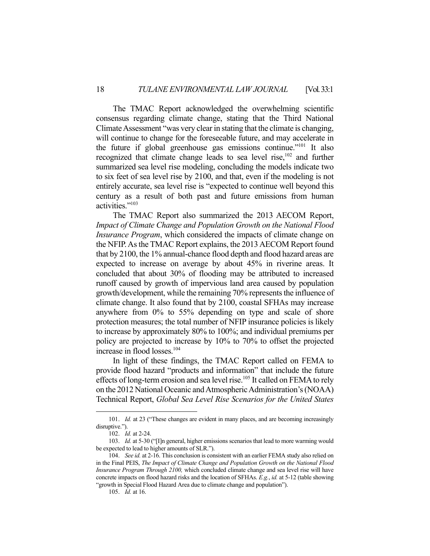The TMAC Report acknowledged the overwhelming scientific consensus regarding climate change, stating that the Third National Climate Assessment "was very clear in stating that the climate is changing, will continue to change for the foreseeable future, and may accelerate in the future if global greenhouse gas emissions continue."101 It also recognized that climate change leads to sea level rise,<sup>102</sup> and further summarized sea level rise modeling, concluding the models indicate two to six feet of sea level rise by 2100, and that, even if the modeling is not entirely accurate, sea level rise is "expected to continue well beyond this century as a result of both past and future emissions from human activities."103

 The TMAC Report also summarized the 2013 AECOM Report, *Impact of Climate Change and Population Growth on the National Flood Insurance Program*, which considered the impacts of climate change on the NFIP. As the TMAC Report explains, the 2013 AECOM Report found that by 2100, the 1% annual-chance flood depth and flood hazard areas are expected to increase on average by about 45% in riverine areas. It concluded that about 30% of flooding may be attributed to increased runoff caused by growth of impervious land area caused by population growth/development, while the remaining 70% represents the influence of climate change. It also found that by 2100, coastal SFHAs may increase anywhere from 0% to 55% depending on type and scale of shore protection measures; the total number of NFIP insurance policies is likely to increase by approximately 80% to 100%; and individual premiums per policy are projected to increase by 10% to 70% to offset the projected increase in flood losses.104

 In light of these findings, the TMAC Report called on FEMA to provide flood hazard "products and information" that include the future effects of long-term erosion and sea level rise.<sup>105</sup> It called on FEMA to rely on the 2012 National Oceanic and Atmospheric Administration's (NOAA) Technical Report, *Global Sea Level Rise Scenarios for the United States* 

<sup>101.</sup> *Id.* at 23 ("These changes are evident in many places, and are becoming increasingly disruptive.").

 <sup>102.</sup> *Id.* at 2-24.

<sup>103.</sup> *Id.* at 5-30 ("[I]n general, higher emissions scenarios that lead to more warming would be expected to lead to higher amounts of SLR.").

 <sup>104.</sup> *See id.* at 2-16. This conclusion is consistent with an earlier FEMA study also relied on in the Final PEIS, *The Impact of Climate Change and Population Growth on the National Flood Insurance Program Through 2100,* which concluded climate change and sea level rise will have concrete impacts on flood hazard risks and the location of SFHAs. *E.g.*, *id.* at 5-12 (table showing "growth in Special Flood Hazard Area due to climate change and population").

 <sup>105.</sup> *Id.* at 16.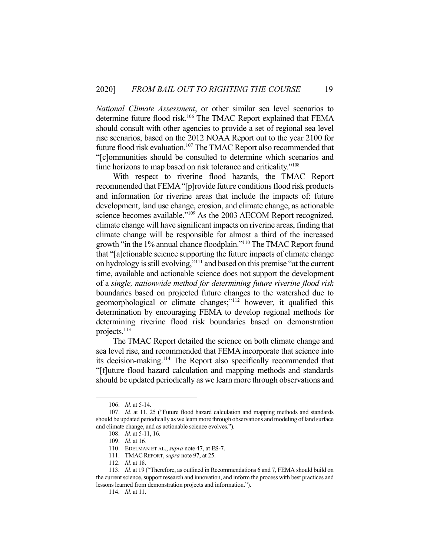*National Climate Assessment*, or other similar sea level scenarios to determine future flood risk.<sup>106</sup> The TMAC Report explained that FEMA should consult with other agencies to provide a set of regional sea level rise scenarios, based on the 2012 NOAA Report out to the year 2100 for future flood risk evaluation.<sup>107</sup> The TMAC Report also recommended that "[c]ommunities should be consulted to determine which scenarios and time horizons to map based on risk tolerance and criticality."<sup>108</sup>

 With respect to riverine flood hazards, the TMAC Report recommended that FEMA "[p]rovide future conditions flood risk products and information for riverine areas that include the impacts of: future development, land use change, erosion, and climate change, as actionable science becomes available."<sup>109</sup> As the 2003 AECOM Report recognized, climate change will have significant impacts on riverine areas, finding that climate change will be responsible for almost a third of the increased growth "in the 1% annual chance floodplain."110 The TMAC Report found that "[a]ctionable science supporting the future impacts of climate change on hydrology is still evolving,"111 and based on this premise "at the current time, available and actionable science does not support the development of a *single, nationwide method for determining future riverine flood risk* boundaries based on projected future changes to the watershed due to geomorphological or climate changes;"<sup>112</sup> however, it qualified this determination by encouraging FEMA to develop regional methods for determining riverine flood risk boundaries based on demonstration projects.<sup>113</sup>

 The TMAC Report detailed the science on both climate change and sea level rise, and recommended that FEMA incorporate that science into its decision-making.114 The Report also specifically recommended that "[f]uture flood hazard calculation and mapping methods and standards should be updated periodically as we learn more through observations and

 <sup>106.</sup> *Id.* at 5-14.

 <sup>107.</sup> *Id.* at 11, 25 ("Future flood hazard calculation and mapping methods and standards should be updated periodically as we learn more through observations and modeling of land surface and climate change, and as actionable science evolves.").

 <sup>108.</sup> *Id.* at 5-11, 16.

 <sup>109.</sup> *Id.* at 16*.*

 <sup>110.</sup> EDELMAN ET AL., *supra* note 47, at ES-7.

 <sup>111.</sup> TMACREPORT, *supra* note 97, at 25.

 <sup>112.</sup> *Id.* at 18.

 <sup>113.</sup> *Id.* at 19 ("Therefore, as outlined in Recommendations 6 and 7, FEMA should build on the current science, support research and innovation, and inform the process with best practices and lessons learned from demonstration projects and information.").

 <sup>114.</sup> *Id.* at 11.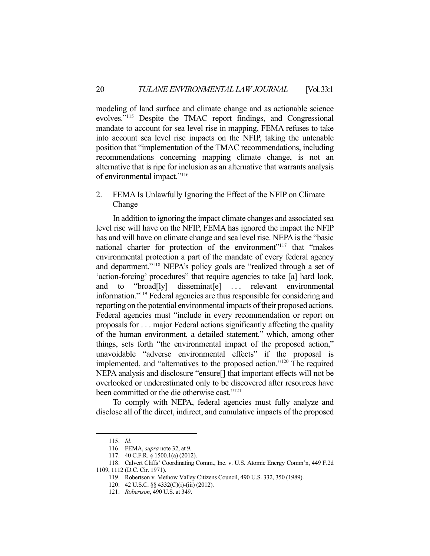modeling of land surface and climate change and as actionable science evolves."115 Despite the TMAC report findings, and Congressional mandate to account for sea level rise in mapping, FEMA refuses to take into account sea level rise impacts on the NFIP, taking the untenable position that "implementation of the TMAC recommendations, including recommendations concerning mapping climate change, is not an alternative that is ripe for inclusion as an alternative that warrants analysis of environmental impact."116

# 2. FEMA Is Unlawfully Ignoring the Effect of the NFIP on Climate Change

 In addition to ignoring the impact climate changes and associated sea level rise will have on the NFIP, FEMA has ignored the impact the NFIP has and will have on climate change and sea level rise. NEPA is the "basic national charter for protection of the environment"<sup>117</sup> that "makes" environmental protection a part of the mandate of every federal agency and department."118 NEPA's policy goals are "realized through a set of 'action-forcing' procedures" that require agencies to take [a] hard look, and to "broad[ly] disseminat[e] ... relevant environmental information."119 Federal agencies are thus responsible for considering and reporting on the potential environmental impacts of their proposed actions. Federal agencies must "include in every recommendation or report on proposals for . . . major Federal actions significantly affecting the quality of the human environment, a detailed statement," which, among other things, sets forth "the environmental impact of the proposed action," unavoidable "adverse environmental effects" if the proposal is implemented, and "alternatives to the proposed action."120 The required NEPA analysis and disclosure "ensure[] that important effects will not be overlooked or underestimated only to be discovered after resources have been committed or the die otherwise cast."121

 To comply with NEPA, federal agencies must fully analyze and disclose all of the direct, indirect, and cumulative impacts of the proposed

 <sup>115.</sup> *Id.*

 <sup>116.</sup> FEMA, *supra* note 32, at 9.

 <sup>117. 40</sup> C.F.R. § 1500.1(a) (2012).

 <sup>118.</sup> Calvert Cliffs' Coordinating Comm., Inc. v. U.S. Atomic Energy Comm'n, 449 F.2d 1109, 1112 (D.C. Cir. 1971).

 <sup>119.</sup> Robertson v. Methow Valley Citizens Council, 490 U.S. 332, 350 (1989).

 <sup>120. 42</sup> U.S.C. §§ 4332(C)(i)-(iii) (2012).

 <sup>121.</sup> *Robertson*, 490 U.S. at 349.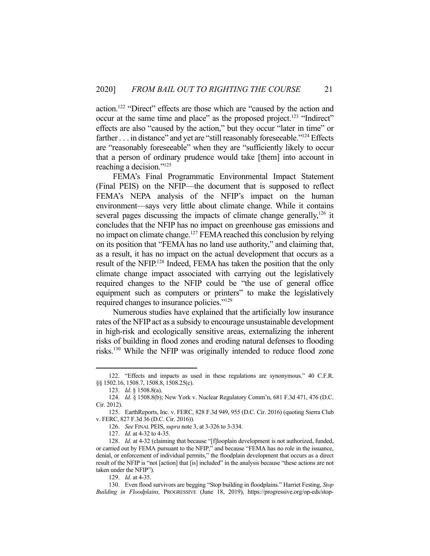action.122 "Direct" effects are those which are "caused by the action and occur at the same time and place" as the proposed project.<sup>123</sup> "Indirect" effects are also "caused by the action," but they occur "later in time" or farther . . . in distance" and yet are "still reasonably foreseeable."<sup>124</sup> Effects are "reasonably foreseeable" when they are "sufficiently likely to occur that a person of ordinary prudence would take [them] into account in reaching a decision."125

 FEMA's Final Programmatic Environmental Impact Statement (Final PEIS) on the NFIP—the document that is supposed to reflect FEMA's NEPA analysis of the NFIP's impact on the human environment—says very little about climate change. While it contains several pages discussing the impacts of climate change generally,  $126$  it concludes that the NFIP has no impact on greenhouse gas emissions and no impact on climate change.<sup>127</sup> FEMA reached this conclusion by relying on its position that "FEMA has no land use authority," and claiming that, as a result, it has no impact on the actual development that occurs as a result of the NFIP.128 Indeed, FEMA has taken the position that the only climate change impact associated with carrying out the legislatively required changes to the NFIP could be "the use of general office equipment such as computers or printers" to make the legislatively required changes to insurance policies."129

 Numerous studies have explained that the artificially low insurance rates of the NFIP act as a subsidy to encourage unsustainable development in high-risk and ecologically sensitive areas, externalizing the inherent risks of building in flood zones and eroding natural defenses to flooding risks.130 While the NFIP was originally intended to reduce flood zone

 <sup>122. &</sup>quot;Effects and impacts as used in these regulations are synonymous." 40 C.F.R. §§ 1502.16, 1508.7, 1508.8, 1508.25(c).

 <sup>123.</sup> *Id*. § 1508.8(a).

 <sup>124.</sup> *Id*. § 1508.8(b); New York v. Nuclear Regulatory Comm'n, 681 F.3d 471, 476 (D.C. Cir. 2012).

 <sup>125.</sup> EarthReports, Inc. v. FERC, 828 F.3d 949, 955 (D.C. Cir. 2016) (quoting Sierra Club v. FERC, 827 F.3d 36 (D.C. Cir. 2016)).

 <sup>126.</sup> *See* FINAL PEIS, *supra* note 3, at 3-326 to 3-334.

 <sup>127.</sup> *Id.* at 4-32 to 4-35.

 <sup>128.</sup> *Id.* at 4-32 (claiming that because "[f]looplain development is not authorized, funded, or carried out by FEMA pursuant to the NFIP," and because "FEMA has no role in the issuance, denial, or enforcement of individual permits," the floodplain development that occurs as a direct result of the NFIP is "not [action] that [is] included" in the analysis because "these actions are not taken under the NFIP").

 <sup>129.</sup> *Id.* at 4-35.

 <sup>130.</sup> Even flood survivors are begging "Stop building in floodplains." Harriet Festing, *Stop Building in Floodplains,* PROGRESSIVE (June 18, 2019), https://progressive.org/op-eds/stop-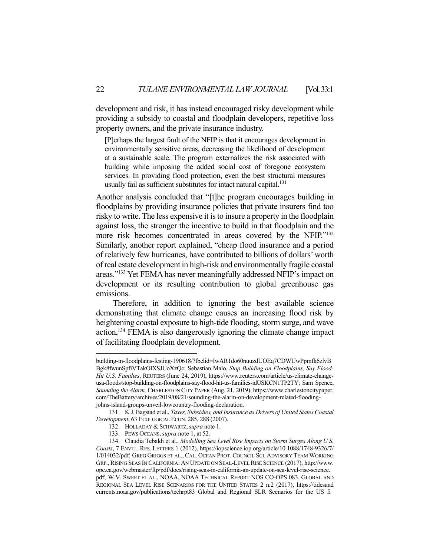development and risk, it has instead encouraged risky development while providing a subsidy to coastal and floodplain developers, repetitive loss property owners, and the private insurance industry.

[P]erhaps the largest fault of the NFIP is that it encourages development in environmentally sensitive areas, decreasing the likelihood of development at a sustainable scale. The program externalizes the risk associated with building while imposing the added social cost of foregone ecosystem services. In providing flood protection, even the best structural measures usually fail as sufficient substitutes for intact natural capital.<sup>131</sup>

Another analysis concluded that "[t]he program encourages building in floodplains by providing insurance policies that private insurers find too risky to write. The less expensive it is to insure a property in the floodplain against loss, the stronger the incentive to build in that floodplain and the more risk becomes concentrated in areas covered by the NFIP."132 Similarly, another report explained, "cheap flood insurance and a period of relatively few hurricanes, have contributed to billions of dollars' worth of real estate development in high-risk and environmentally fragile coastal areas."133 Yet FEMA has never meaningfully addressed NFIP's impact on development or its resulting contribution to global greenhouse gas emissions.

 Therefore, in addition to ignoring the best available science demonstrating that climate change causes an increasing flood risk by heightening coastal exposure to high-tide flooding, storm surge, and wave action,134 FEMA is also dangerously ignoring the climate change impact of facilitating floodplain development.

building-in-floodplains-festing-190618/?fbclid=IwAR1do60nuuzdUOEq7CDWUwPpmfk6zlvB Bgk8fwunSpfiVTakOlXSJUoXzQc; Sebastian Malo, *Stop Building on Floodplains, Say Flood-Hit U.S. Families*, REUTERS (June 24, 2019), https://www.reuters.com/article/us-climate-changeusa-floods/stop-building-on-floodplains-say-flood-hit-us-families-idUSKCN1TP2TY; Sam Spence, *Sounding the Alarm,* CHARLESTON CITY PAPER (Aug. 21, 2019), https://www.charlestoncitypaper. com/TheBattery/archives/2019/08/21/sounding-the-alarm-on-development-related-floodingjohns-island-groups-unveil-lowcountry-flooding-declaration.

 <sup>131.</sup> K.J. Bagstad et al., *Taxes, Subsidies, and Insurance as Drivers of United States Coastal Development*, 63 ECOLOGICAL ECON. 285, 288 (2007).

 <sup>132.</sup> HOLLADAY & SCHWARTZ,*supra* note 1.

 <sup>133.</sup> PEWS OCEANS,*supra* note 1, at 52.

 <sup>134.</sup> Claudia Tebaldi et al., *Modelling Sea Level Rise Impacts on Storm Surges Along U.S. Coasts*, 7 ENVTL. RES. LETTERS 1 (2012), https://iopscience.iop.org/article/10.1088/1748-9326/7/ 1/014032/pdf; GREG GRIGGS ET AL., CAL. OCEAN PROT. COUNCIL SCI. ADVISORY TEAM WORKING GRP., RISING SEAS IN CALIFORNIA: AN UPDATE ON SEAL-LEVEL RISE SCIENCE (2017), http://www. opc.ca.gov/webmaster/ftp/pdf/docs/rising-seas-in-california-an-update-on-sea-level-rise-science. pdf; W.V. SWEET ET AL., NOAA, NOAA TECHNICAL REPORT NOS CO-OPS 083, GLOBAL AND REGIONAL SEA LEVEL RISE SCENARIOS FOR THE UNITED STATES 2 n.2 (2017), https://tidesand currents.noaa.gov/publications/techrpt83\_Global\_and\_Regional\_SLR\_Scenarios\_for\_the\_US\_fi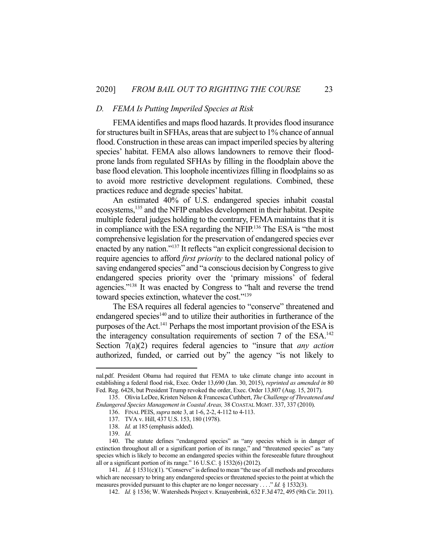#### *D. FEMA Is Putting Imperiled Species at Risk*

 FEMA identifies and maps flood hazards. It provides flood insurance for structures built in SFHAs, areas that are subject to 1% chance of annual flood. Construction in these areas can impact imperiled species by altering species' habitat. FEMA also allows landowners to remove their floodprone lands from regulated SFHAs by filling in the floodplain above the base flood elevation. This loophole incentivizes filling in floodplains so as to avoid more restrictive development regulations. Combined, these practices reduce and degrade species' habitat.

 An estimated 40% of U.S. endangered species inhabit coastal ecosystems,135 and the NFIP enables development in their habitat. Despite multiple federal judges holding to the contrary, FEMA maintains that it is in compliance with the ESA regarding the NFIP.136 The ESA is "the most comprehensive legislation for the preservation of endangered species ever enacted by any nation."137 It reflects "an explicit congressional decision to require agencies to afford *first priority* to the declared national policy of saving endangered species" and "a conscious decision by Congress to give endangered species priority over the 'primary missions' of federal agencies."138 It was enacted by Congress to "halt and reverse the trend toward species extinction, whatever the cost."<sup>139</sup>

 The ESA requires all federal agencies to "conserve" threatened and endangered species<sup>140</sup> and to utilize their authorities in furtherance of the purposes of the Act.141 Perhaps the most important provision of the ESA is the interagency consultation requirements of section  $7$  of the ESA.<sup>142</sup> Section 7(a)(2) requires federal agencies to "insure that *any action* authorized, funded, or carried out by" the agency "is not likely to

142. *Id.* § 1536; W. Watersheds Project v. Kraayenbrink, 632 F.3d 472, 495 (9th Cir. 2011).

nal.pdf. President Obama had required that FEMA to take climate change into account in establishing a federal flood risk, Exec. Order 13,690 (Jan. 30, 2015), *reprinted as amended in* 80 Fed. Reg. 6428, but President Trump revoked the order, Exec. Order 13,807 (Aug. 15, 2017).

 <sup>135.</sup> Olivia LeDee, Kristen Nelson & Francesca Cuthbert, *The Challenge of Threatened and Endangered Species Management in Coastal Areas,* 38 COASTAL MGMT. 337, 337 (2010).

 <sup>136.</sup> FINAL PEIS, *supra* note 3, at 1-6, 2-2, 4-112 to 4-113.

 <sup>137.</sup> TVA v. Hill, 437 U.S. 153, 180 (1978).

 <sup>138.</sup> *Id.* at 185 (emphasis added).

 <sup>139.</sup> *Id*.

 <sup>140.</sup> The statute defines "endangered species" as "any species which is in danger of extinction throughout all or a significant portion of its range," and "threatened species" as "any species which is likely to become an endangered species within the foreseeable future throughout all or a significant portion of its range." 16 U.S.C. § 1532(6) (2012).

<sup>141.</sup> *Id.* § 1531(c)(1). "Conserve" is defined to mean "the use of all methods and procedures which are necessary to bring any endangered species or threatened species to the point at which the measures provided pursuant to this chapter are no longer necessary . . . ." *Id.* § 1532(3).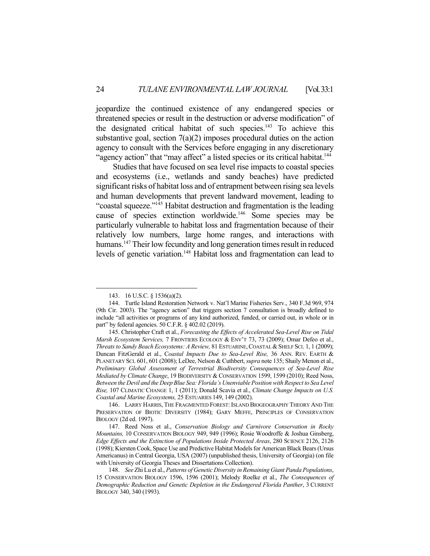jeopardize the continued existence of any endangered species or threatened species or result in the destruction or adverse modification" of the designated critical habitat of such species.143 To achieve this substantive goal, section  $7(a)(2)$  imposes procedural duties on the action agency to consult with the Services before engaging in any discretionary "agency action" that "may affect" a listed species or its critical habitat.<sup>144</sup>

 Studies that have focused on sea level rise impacts to coastal species and ecosystems (i.e., wetlands and sandy beaches) have predicted significant risks of habitat loss and of entrapment between rising sea levels and human developments that prevent landward movement, leading to "coastal squeeze."145 Habitat destruction and fragmentation is the leading cause of species extinction worldwide.146 Some species may be particularly vulnerable to habitat loss and fragmentation because of their relatively low numbers, large home ranges, and interactions with humans.<sup>147</sup> Their low fecundity and long generation times result in reduced levels of genetic variation.148 Habitat loss and fragmentation can lead to

 <sup>143. 16</sup> U.S.C. § 1536(a)(2).

 <sup>144.</sup> Turtle Island Restoration Network v. Nat'l Marine Fisheries Serv., 340 F.3d 969, 974 (9th Cir. 2003). The "agency action" that triggers section 7 consultation is broadly defined to include "all activities or programs of any kind authorized, funded, or carried out, in whole or in part" by federal agencies. 50 C.F.R. § 402.02 (2019).

 <sup>145.</sup> Christopher Craft et al., *Forecasting the Effects of Accelerated Sea-Level Rise on Tidal Marsh Ecosystem Services,* 7 FRONTIERS ECOLOGY & ENV'T 73, 73 (2009); Omar Defeo et al., *Threats to Sandy Beach Ecosystems: A Review,* 81 ESTUARINE,COASTAL &SHELF SCI. 1, 1 (2009); Duncan FitzGerald et al., C*oastal Impacts Due to Sea-Level Rise,* 36 ANN. REV. EARTH & PLANETARY SCI. 601, 601 (2008); LeDee, Nelson & Cuthbert, *supra* note 135; Shaily Menon et al., *Preliminary Global Assessment of Terrestrial Biodiversity Consequences of Sea-Level Rise Mediated by Climate Change*, 19 BIODIVERSITY & CONSERVATION 1599, 1599 (2010); Reed Noss, *Between the Devil and the Deep Blue Sea: Florida's Unenviable Position with Respect to Sea Level Rise,* 107 CLIMATIC CHANGE 1, 1 (2011); Donald Scavia et al., *Climate Change Impacts on U.S. Coastal and Marine Ecosystems,* 25 ESTUARIES 149, 149 (2002).

 <sup>146.</sup> LARRY HARRIS, THE FRAGMENTED FOREST: ISLAND BIOGEOGRAPHY THEORY AND THE PRESERVATION OF BIOTIC DIVERSITY (1984); GARY MEFFE, PRINCIPLES OF CONSERVATION BIOLOGY (2d ed. 1997).

 <sup>147.</sup> Reed Noss et al., *Conservation Biology and Carnivore Conservation in Rocky Mountains,* 10 CONSERVATION BIOLOGY 949, 949 (1996); Rosie Woodroffe & Joshua Ginsberg, *Edge Effects and the Extinction of Populations Inside Protected Areas*, 280 SCIENCE 2126, 2126 (1998); Kiersten Cook, Space Use and Predictive Habitat Models for American Black Bears (Ursus Americanus) in Central Georgia, USA (2007) (unpublished thesis, University of Georgia) (on file with University of Georgia Theses and Dissertations Collection).

 <sup>148.</sup> *See* Zhi Lu et al., *Patterns of Genetic Diversity in Remaining Giant Panda Populations*, 15 CONSERVATION BIOLOGY 1596, 1596 (2001); Melody Roelke et al., *The Consequences of Demographic Reduction and Genetic Depletion in the Endangered Florida Panther*, 3 CURRENT BIOLOGY 340, 340 (1993).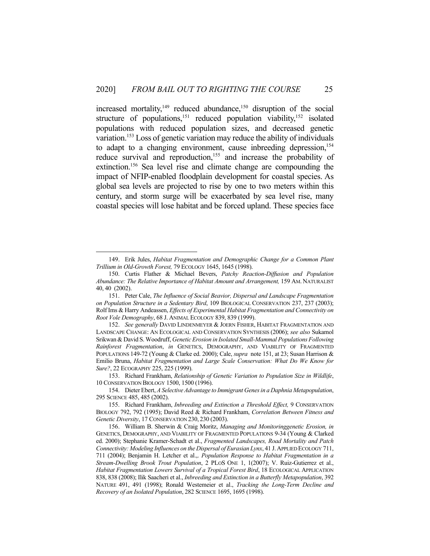increased mortality, $149$  reduced abundance, $150$  disruption of the social structure of populations,<sup>151</sup> reduced population viability,<sup>152</sup> isolated populations with reduced population sizes, and decreased genetic variation.<sup>153</sup> Loss of genetic variation may reduce the ability of individuals to adapt to a changing environment, cause inbreeding depression, 154 reduce survival and reproduction,<sup>155</sup> and increase the probability of extinction.156 Sea level rise and climate change are compounding the impact of NFIP-enabled floodplain development for coastal species. As global sea levels are projected to rise by one to two meters within this century, and storm surge will be exacerbated by sea level rise, many coastal species will lose habitat and be forced upland. These species face

 <sup>149.</sup> Erik Jules, *Habitat Fragmentation and Demographic Change for a Common Plant Trillium in Old-Growth Forest,* 79 ECOLOGY 1645, 1645 (1998).

 <sup>150.</sup> Curtis Flather & Michael Bevers, *Patchy Reaction-Diffusion and Population Abundance: The Relative Importance of Habitat Amount and Arrangement,* 159 AM. NATURALIST 40, 40 (2002).

 <sup>151.</sup> Peter Cale, *The Influence of Social Beavior, Dispersal and Landscape Fragmentation on Population Structure in a Sedentary Bird*, 109 BIOLOGICAL CONSERVATION 237, 237 (2003); Rolf Ims & Harry Andeassen, *Effects of Experimental Habitat Fragmentation and Connectivity on Root Vole Demography*, 68 J. ANIMAL ECOLOGY 839, 839 (1999).

 <sup>152.</sup> *See generally* DAVID LINDENMEYER & JOERN FISHER, HABITAT FRAGMENTATION AND LANDSCAPE CHANGE: AN ECOLOGICAL AND CONSERVATION SYNTHESIS (2006); *see also* Sukamol Srikwan & David S. Woodruff, *Genetic Erosion in Isolated Small-Mammal Populations Following Rainforest Fragmentation*, *in* GENETICS, DEMOGRAPHY, AND VIABILITY OF FRAGMENTED POPULATIONS 149-72 (Young & Clarke ed. 2000); Cale, *supra* note 151, at 23; Susan Harrison & Emilio Bruna, *Habitat Fragmentation and Large Scale Conservation: What Do We Know for Sure?*, 22 ECOGRAPHY 225, 225 (1999).

 <sup>153.</sup> Richard Frankham, *Relationship of Genetic Variation to Population Size in Wildlife*, 10 CONSERVATION BIOLOGY 1500, 1500 (1996).

 <sup>154.</sup> Dieter Ebert, *A Selective Advantage to Immigrant Genes in a Daphnia Metapopulation*, 295 SCIENCE 485, 485 (2002).

 <sup>155.</sup> Richard Frankham, *Inbreeding and Extinction a Threshold Effect,* 9 CONSERVATION BIOLOGY 792, 792 (1995); David Reed & Richard Frankham, *Correlation Between Fitness and Genetic Diversity*, 17 CONSERVATION 230, 230 (2003).

 <sup>156.</sup> William B. Sherwin & Craig Moritz, *Managing and Monitoringgenetic Erosion, in*  GENETICS, DEMOGRAPHY, AND VIABILITY OF FRAGMENTED POPULATIONS 9-34 (Young & Clarked ed. 2000); Stephanie Kramer-Schadt et al., *Fragmented Landscapes, Road Mortality and Patch Connectivity: Modeling Influences on the Dispersal of Eurasian Lynx*, 41 J.APPLIED ECOLOGY 711, 711 (2004); Benjamin H. Letcher et al.,. *Population Response to Habitat Fragmentation in a Stream-Dwelling Brook Trout Population*, 2 PLOS ONE 1, 1(2007); V. Ruiz-Gutierrez et al., *Habitat Fragmentation Lowers Survival of a Tropical Forest Bird*, 18 ECOLOGICAL APPLICATION 838, 838 (2008); Ilik Saacheri et al., *Inbreeding and Extinction in a Butterfly Metapopulation*, 392 NATURE 491, 491 (1998); Ronald Westemeier et al., *Tracking the Long-Term Decline and Recovery of an Isolated Population*, 282 SCIENCE 1695, 1695 (1998).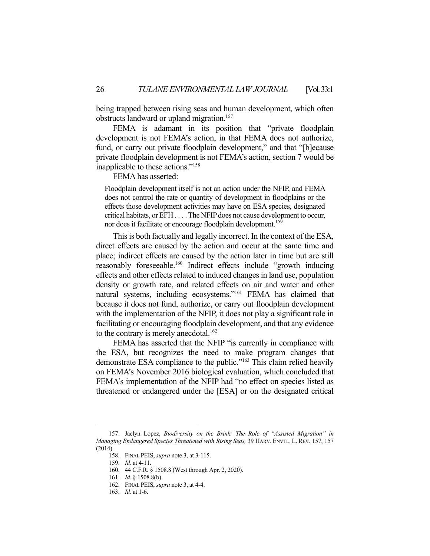being trapped between rising seas and human development, which often obstructs landward or upland migration.<sup>157</sup>

 FEMA is adamant in its position that "private floodplain development is not FEMA's action, in that FEMA does not authorize, fund, or carry out private floodplain development," and that "[b]ecause private floodplain development is not FEMA's action, section 7 would be inapplicable to these actions."158

FEMA has asserted:

Floodplain development itself is not an action under the NFIP, and FEMA does not control the rate or quantity of development in floodplains or the effects those development activities may have on ESA species, designated critical habitats, or EFH . . . . The NFIP does not cause development to occur, nor does it facilitate or encourage floodplain development.<sup>159</sup>

 This is both factually and legally incorrect. In the context of the ESA, direct effects are caused by the action and occur at the same time and place; indirect effects are caused by the action later in time but are still reasonably foreseeable.<sup>160</sup> Indirect effects include "growth inducing effects and other effects related to induced changes in land use, population density or growth rate, and related effects on air and water and other natural systems, including ecosystems."161 FEMA has claimed that because it does not fund, authorize, or carry out floodplain development with the implementation of the NFIP, it does not play a significant role in facilitating or encouraging floodplain development, and that any evidence to the contrary is merely anecdotal.<sup>162</sup>

 FEMA has asserted that the NFIP "is currently in compliance with the ESA, but recognizes the need to make program changes that demonstrate ESA compliance to the public."<sup>163</sup> This claim relied heavily on FEMA's November 2016 biological evaluation, which concluded that FEMA's implementation of the NFIP had "no effect on species listed as threatened or endangered under the [ESA] or on the designated critical

 <sup>157.</sup> Jaclyn Lopez, *Biodiversity on the Brink: The Role of "Assisted Migration" in Managing Endangered Species Threatened with Rising Seas,* 39 HARV. ENVTL. L. REV. 157, 157 (2014).

 <sup>158.</sup> FINAL PEIS, *supra* note 3, at 3-115.

 <sup>159.</sup> *Id.* at 4-11.

 <sup>160. 44</sup> C.F.R. § 1508.8 (West through Apr. 2, 2020).

 <sup>161.</sup> *Id.* § 1508.8(b).

 <sup>162.</sup> FINAL PEIS, *supra* note 3, at 4-4.

 <sup>163.</sup> *Id.* at 1-6.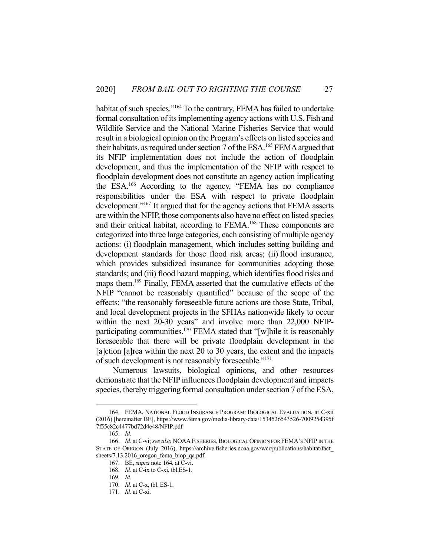habitat of such species."<sup>164</sup> To the contrary, FEMA has failed to undertake formal consultation of its implementing agency actions with U.S. Fish and Wildlife Service and the National Marine Fisheries Service that would result in a biological opinion on the Program's effects on listed species and their habitats, as required under section 7 of the ESA.165 FEMA argued that its NFIP implementation does not include the action of floodplain development, and thus the implementation of the NFIP with respect to floodplain development does not constitute an agency action implicating the ESA.166 According to the agency, "FEMA has no compliance responsibilities under the ESA with respect to private floodplain development."167 It argued that for the agency actions that FEMA asserts are within the NFIP, those components also have no effect on listed species and their critical habitat, according to FEMA.168 These components are categorized into three large categories, each consisting of multiple agency actions: (i) floodplain management, which includes setting building and development standards for those flood risk areas; (ii) flood insurance, which provides subsidized insurance for communities adopting those standards; and (iii) flood hazard mapping, which identifies flood risks and maps them.169 Finally, FEMA asserted that the cumulative effects of the NFIP "cannot be reasonably quantified" because of the scope of the effects: "the reasonably foreseeable future actions are those State, Tribal, and local development projects in the SFHAs nationwide likely to occur within the next 20-30 years" and involve more than 22,000 NFIPparticipating communities.<sup>170</sup> FEMA stated that "[w]hile it is reasonably foreseeable that there will be private floodplain development in the [a]ction [a]rea within the next 20 to 30 years, the extent and the impacts of such development is not reasonably foreseeable."171

 Numerous lawsuits, biological opinions, and other resources demonstrate that the NFIP influences floodplain development and impacts species, thereby triggering formal consultation under section 7 of the ESA,

 <sup>164.</sup> FEMA, NATIONAL FLOOD INSURANCE PROGRAM: BIOLOGICAL EVALUATION, at C-xii (2016) [hereinafter BE], https://www.fema.gov/media-library-data/1534526543526-7009254395f 7f55c82c4477bd72d4e48/NFIP.pdf

 <sup>165.</sup> *Id.*

<sup>166.</sup> *Id.* at C-vi; see also NOAA FISHERIES, BIOLOGICAL OPINION FOR FEMA'S NFIP IN THE STATE OF OREGON (July 2016), https://archive.fisheries.noaa.gov/wcr/publications/habitat/fact\_ sheets/7.13.2016 oregon fema biop qa.pdf.

 <sup>167.</sup> BE, *supra* note 164, at C-vi.

 <sup>168.</sup> *Id.* at C-ix to C-xi, tbl.ES-1.

 <sup>169.</sup> *Id.*

 <sup>170.</sup> *Id.* at C-x, tbl. ES-1.

 <sup>171.</sup> *Id.* at C-xi.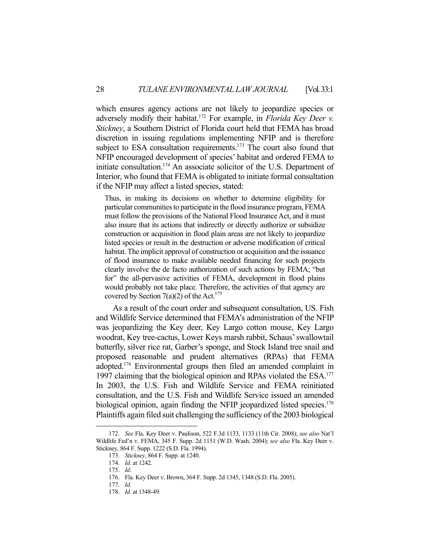which ensures agency actions are not likely to jeopardize species or adversely modify their habitat.172 For example, in *Florida Key Deer v. Stickney*, a Southern District of Florida court held that FEMA has broad discretion in issuing regulations implementing NFIP and is therefore subject to ESA consultation requirements.<sup>173</sup> The court also found that NFIP encouraged development of species' habitat and ordered FEMA to initiate consultation.174 An associate solicitor of the U.S. Department of Interior, who found that FEMA is obligated to initiate formal consultation if the NFIP may affect a listed species, stated:

Thus, in making its decisions on whether to determine eligibility for particular communities to participate in the flood insurance program, FEMA must follow the provisions of the National Flood Insurance Act, and it must also insure that its actions that indirectly or directly authorize or subsidize construction or acquisition in flood plain areas are not likely to jeopardize listed species or result in the destruction or adverse modification of critical habitat. The implicit approval of construction or acquisition and the issuance of flood insurance to make available needed financing for such projects clearly involve the de facto authorization of such actions by FEMA; "but for" the all-pervasive activities of FEMA, development in flood plains would probably not take place. Therefore, the activities of that agency are covered by Section 7(a)(2) of the Act.<sup>175</sup>

 As a result of the court order and subsequent consultation, US. Fish and Wildlife Service determined that FEMA's administration of the NFIP was jeopardizing the Key deer, Key Largo cotton mouse, Key Largo woodrat, Key tree-cactus, Lower Keys marsh rabbit, Schaus' swallowtail butterfly, silver rice rat, Garber's sponge, and Stock Island tree snail and proposed reasonable and prudent alternatives (RPAs) that FEMA adopted.176 Environmental groups then filed an amended complaint in 1997 claiming that the biological opinion and RPAs violated the ESA.<sup>177</sup> In 2003, the U.S. Fish and Wildlife Service and FEMA reinitiated consultation, and the U.S. Fish and Wildlife Service issued an amended biological opinion, again finding the NFIP jeopardized listed species.<sup>178</sup> Plaintiffs again filed suit challenging the sufficiency of the 2003 biological

<sup>172.</sup> *See* Fla. Key Deer v. Paulison, 522 F.3d 1133, 1133 (11th Cir. 2008); *see also* Nat'l Wildlife Fed'n v. FEMA, 345 F. Supp. 2d 1151 (W.D. Wash. 2004); *see also* Fla. Key Deer v. Stickney, 864 F. Supp. 1222 (S.D. Fla. 1994).

 <sup>173.</sup> *Stickney*, 864 F. Supp. at 1240.

 <sup>174.</sup> *Id.* at 1242.

 <sup>175.</sup> *Id*.

 <sup>176.</sup> Fla. Key Deer v. Brown, 364 F. Supp. 2d 1345, 1348 (S.D. Fla. 2005).

 <sup>177.</sup> *Id.*

 <sup>178.</sup> *Id.* at 1348-49*.*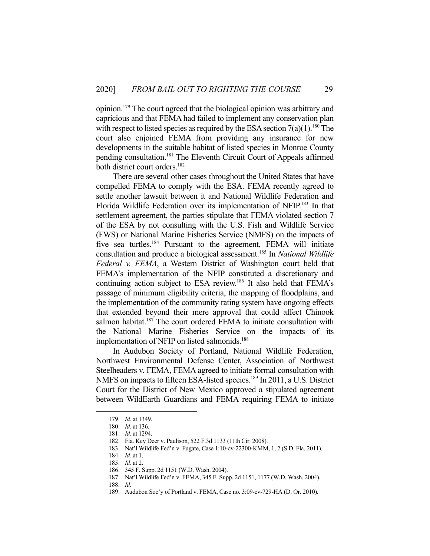opinion.179 The court agreed that the biological opinion was arbitrary and capricious and that FEMA had failed to implement any conservation plan with respect to listed species as required by the ESA section  $7(a)(1)$ .<sup>180</sup> The court also enjoined FEMA from providing any insurance for new developments in the suitable habitat of listed species in Monroe County pending consultation.<sup>181</sup> The Eleventh Circuit Court of Appeals affirmed both district court orders.<sup>182</sup>

 There are several other cases throughout the United States that have compelled FEMA to comply with the ESA. FEMA recently agreed to settle another lawsuit between it and National Wildlife Federation and Florida Wildlife Federation over its implementation of NFIP.183 In that settlement agreement, the parties stipulate that FEMA violated section 7 of the ESA by not consulting with the U.S. Fish and Wildlife Service (FWS) or National Marine Fisheries Service (NMFS) on the impacts of five sea turtles.<sup>184</sup> Pursuant to the agreement, FEMA will initiate consultation and produce a biological assessment.185 In *National Wildlife Federal v. FEMA*, a Western District of Washington court held that FEMA's implementation of the NFIP constituted a discretionary and continuing action subject to ESA review.186 It also held that FEMA's passage of minimum eligibility criteria, the mapping of floodplains, and the implementation of the community rating system have ongoing effects that extended beyond their mere approval that could affect Chinook salmon habitat.<sup>187</sup> The court ordered FEMA to initiate consultation with the National Marine Fisheries Service on the impacts of its implementation of NFIP on listed salmonids.<sup>188</sup>

 In Audubon Society of Portland, National Wildlife Federation, Northwest Environmental Defense Center, Association of Northwest Steelheaders v. FEMA, FEMA agreed to initiate formal consultation with NMFS on impacts to fifteen ESA-listed species.<sup>189</sup> In 2011, a U.S. District Court for the District of New Mexico approved a stipulated agreement between WildEarth Guardians and FEMA requiring FEMA to initiate

 <sup>179.</sup> *Id.* at 1349.

 <sup>180.</sup> *Id.* at 136.

 <sup>181.</sup> *Id.* at 1294.

 <sup>182.</sup> Fla. Key Deer v. Paulison, 522 F.3d 1133 (11th Cir. 2008).

 <sup>183.</sup> Nat'l Wildlife Fed'n v. Fugate, Case 1:10-cv-22300-KMM, 1, 2 (S.D. Fla. 2011).

 <sup>184.</sup> *Id.* at 1.

 <sup>185.</sup> *Id.* at 2.

 <sup>186. 345</sup> F. Supp. 2d 1151 (W.D. Wash. 2004).

 <sup>187.</sup> Nat'l Wildlife Fed'n v. FEMA, 345 F. Supp. 2d 1151, 1177 (W.D. Wash. 2004).

 <sup>188.</sup> *Id.*

 <sup>189.</sup> Audubon Soc'y of Portland v. FEMA, Case no. 3:09-cv-729-HA (D. Or. 2010).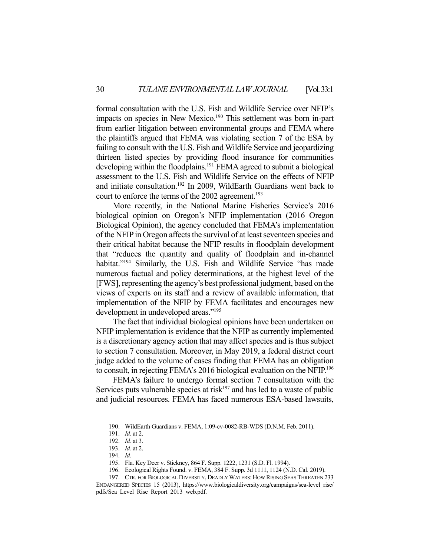formal consultation with the U.S. Fish and Wildlife Service over NFIP's impacts on species in New Mexico.<sup>190</sup> This settlement was born in-part from earlier litigation between environmental groups and FEMA where the plaintiffs argued that FEMA was violating section 7 of the ESA by failing to consult with the U.S. Fish and Wildlife Service and jeopardizing thirteen listed species by providing flood insurance for communities developing within the floodplains.<sup>191</sup> FEMA agreed to submit a biological assessment to the U.S. Fish and Wildlife Service on the effects of NFIP and initiate consultation.192 In 2009, WildEarth Guardians went back to court to enforce the terms of the 2002 agreement.<sup>193</sup>

 More recently, in the National Marine Fisheries Service's 2016 biological opinion on Oregon's NFIP implementation (2016 Oregon Biological Opinion), the agency concluded that FEMA's implementation of the NFIP in Oregon affects the survival of at least seventeen species and their critical habitat because the NFIP results in floodplain development that "reduces the quantity and quality of floodplain and in-channel habitat."<sup>194</sup> Similarly, the U.S. Fish and Wildlife Service "has made numerous factual and policy determinations, at the highest level of the [FWS], representing the agency's best professional judgment, based on the views of experts on its staff and a review of available information, that implementation of the NFIP by FEMA facilitates and encourages new development in undeveloped areas."195

 The fact that individual biological opinions have been undertaken on NFIP implementation is evidence that the NFIP as currently implemented is a discretionary agency action that may affect species and is thus subject to section 7 consultation. Moreover, in May 2019, a federal district court judge added to the volume of cases finding that FEMA has an obligation to consult, in rejecting FEMA's 2016 biological evaluation on the NFIP.196

 FEMA's failure to undergo formal section 7 consultation with the Services puts vulnerable species at risk $197$  and has led to a waste of public and judicial resources. FEMA has faced numerous ESA-based lawsuits,

 <sup>190.</sup> WildEarth Guardians v. FEMA, 1:09-cv-0082-RB-WDS (D.N.M. Feb. 2011).

 <sup>191.</sup> *Id.* at 2.

 <sup>192.</sup> *Id.* at 3.

 <sup>193.</sup> *Id.* at 2.

 <sup>194.</sup> *Id.*

 <sup>195.</sup> Fla. Key Deer v. Stickney, 864 F. Supp. 1222, 1231 (S.D. Fl. 1994).

 <sup>196.</sup> Ecological Rights Found. v. FEMA, 384 F. Supp. 3d 1111, 1124 (N.D. Cal. 2019).

 <sup>197.</sup> CTR. FOR BIOLOGICAL DIVERSITY, DEADLY WATERS: HOW RISING SEAS THREATEN 233 ENDANGERED SPECIES 15 (2013), https://www.biologicaldiversity.org/campaigns/sea-level\_rise/ pdfs/Sea\_Level\_Rise\_Report\_2013\_web.pdf.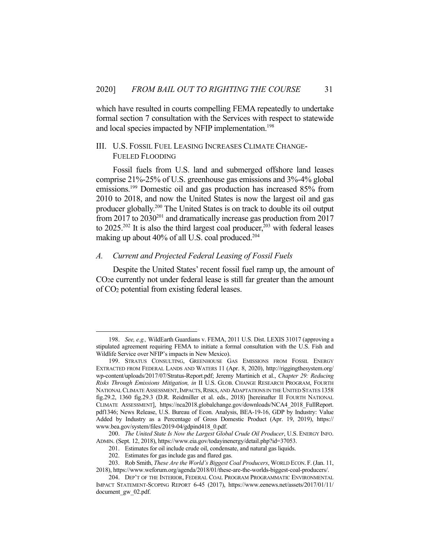which have resulted in courts compelling FEMA repeatedly to undertake formal section 7 consultation with the Services with respect to statewide and local species impacted by NFIP implementation.<sup>198</sup>

#### III. U.S. FOSSIL FUEL LEASING INCREASES CLIMATE CHANGE-FUELED FLOODING

 Fossil fuels from U.S. land and submerged offshore land leases comprise 21%-25% of U.S. greenhouse gas emissions and 3%-4% global emissions.<sup>199</sup> Domestic oil and gas production has increased 85% from 2010 to 2018, and now the United States is now the largest oil and gas producer globally.200 The United States is on track to double its oil output from 2017 to  $2030^{201}$  and dramatically increase gas production from 2017 to 2025.<sup>202</sup> It is also the third largest coal producer,<sup>203</sup> with federal leases making up about 40% of all U.S. coal produced.<sup>204</sup>

#### *A. Current and Projected Federal Leasing of Fossil Fuels*

 Despite the United States' recent fossil fuel ramp up, the amount of CO2e currently not under federal lease is still far greater than the amount of CO2 potential from existing federal leases.

 <sup>198.</sup> *See, e.g.,* WildEarth Guardians v. FEMA, 2011 U.S. Dist. LEXIS 31017 (approving a stipulated agreement requiring FEMA to initiate a formal consultation with the U.S. Fish and Wildlife Service over NFIP's impacts in New Mexico).

 <sup>199.</sup> STRATUS CONSULTING, GREENHOUSE GAS EMISSIONS FROM FOSSIL ENERGY EXTRACTED FROM FEDERAL LANDS AND WATERS 11 (Apr. 8, 2020), http://riggingthesystem.org/ wp-content/uploads/2017/07/Stratus-Report.pdf; Jeremy Martinich et al., *Chapter 29: Reducing Risks Through Emissions Mitigation, in* II U.S. GLOB. CHANGE RESEARCH PROGRAM, FOURTH NATIONAL CLIMATE ASSESSMENT, IMPACTS, RISKS, AND ADAPTATIONS IN THE UNITED STATES 1358 fig.29.2, 1360 fig.29.3 (D.R. Reidmiller et al. eds., 2018) [hereinafter II FOURTH NATIONAL CLIMATE ASSESSMENT], https://nca2018.globalchange.gov/downloads/NCA4\_2018\_FullReport. pdf1346; News Release, U.S. Bureau of Econ. Analysis, BEA-19-16, GDP by Industry: Value Added by Industry as a Percentage of Gross Domestic Product (Apr. 19, 2019), https:// www.bea.gov/system/files/2019-04/gdpind418\_0.pdf.

 <sup>200.</sup> *The United State Is Now the Largest Global Crude Oil Producer*, U.S. ENERGY INFO. ADMIN. (Sept. 12, 2018), https://www.eia.gov/todayinenergy/detail.php?id=37053.

 <sup>201.</sup> Estimates for oil include crude oil, condensate, and natural gas liquids.

 <sup>202.</sup> Estimates for gas include gas and flared gas.

 <sup>203.</sup> Rob Smith, *These Are the World's Biggest Coal Producers*, WORLD ECON. F.(Jan. 11, 2018), https://www.weforum.org/agenda/2018/01/these-are-the-worlds-biggest-coal-producers/.

 <sup>204.</sup> DEP'T OF THE INTERIOR, FEDERAL COAL PROGRAM PROGRAMMATIC ENVIRONMENTAL IMPACT STATEMENT-SCOPING REPORT 6-45 (2017), https://www.eenews.net/assets/2017/01/11/ document\_gw\_02.pdf.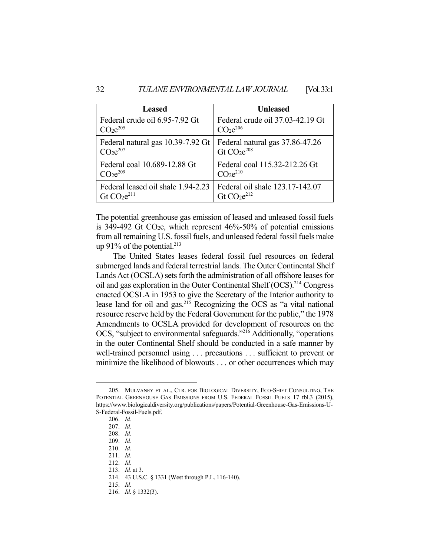| <b>Leased</b>                       | <b>Unleased</b>                  |
|-------------------------------------|----------------------------------|
| Federal crude oil 6.95-7.92 Gt      | Federal crude oil 37.03-42.19 Gt |
| CO <sub>2</sub> e <sup>205</sup>    | CO <sub>2</sub> <sup>206</sup>   |
| Federal natural gas 10.39-7.92 Gt   | Federal natural gas 37.86-47.26  |
| $C$ O <sub>2</sub> e <sup>207</sup> | Gt $CO2e208$                     |
| Federal coal 10.689-12.88 Gt        | Federal coal 115.32-212.26 Gt    |
| CO <sub>2</sub> <sup>209</sup>      | CO <sub>2</sub> e <sup>210</sup> |
| Federal leased oil shale 1.94-2.23  | Federal oil shale 123.17-142.07  |
| Gt $CO2e211$                        | Gt $CO2e212$                     |

The potential greenhouse gas emission of leased and unleased fossil fuels is 349-492 Gt CO<sub>2</sub>e, which represent  $46\%$ -50% of potential emissions from all remaining U.S. fossil fuels, and unleased federal fossil fuels make up 91% of the potential.<sup>213</sup>

 The United States leases federal fossil fuel resources on federal submerged lands and federal terrestrial lands. The Outer Continental Shelf Lands Act (OCSLA) sets forth the administration of all offshore leases for oil and gas exploration in the Outer Continental Shelf (OCS).<sup>214</sup> Congress enacted OCSLA in 1953 to give the Secretary of the Interior authority to lease land for oil and gas.215 Recognizing the OCS as "a vital national resource reserve held by the Federal Government for the public," the 1978 Amendments to OCSLA provided for development of resources on the OCS, "subject to environmental safeguards."216 Additionally, "operations in the outer Continental Shelf should be conducted in a safe manner by well-trained personnel using . . . precautions . . . sufficient to prevent or minimize the likelihood of blowouts . . . or other occurrences which may

 <sup>205.</sup> MULVANEY ET AL., CTR. FOR BIOLOGICAL DIVERSITY, ECO-SHIFT CONSULTING, THE POTENTIAL GREENHOUSE GAS EMISSIONS FROM U.S. FEDERAL FOSSIL FUELS 17 tbl.3 (2015), https://www.biologicaldiversity.org/publications/papers/Potential-Greenhouse-Gas-Emissions-U-S-Federal-Fossil-Fuels.pdf.

 <sup>206.</sup> *Id.*

 <sup>207.</sup> *Id.*

 <sup>208.</sup> *Id.*

 <sup>209.</sup> *Id.*

 <sup>210.</sup> *Id.*

 <sup>211.</sup> *Id.*

 <sup>212.</sup> *Id.*

 <sup>213.</sup> *Id.* at 3.

 <sup>214. 43</sup> U.S.C. § 1331 (West through P.L. 116-140).

 <sup>215.</sup> *Id.*

 <sup>216.</sup> *Id*. § 1332(3).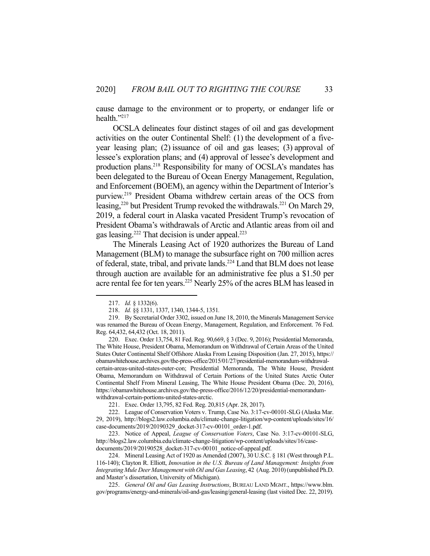cause damage to the environment or to property, or endanger life or health."217

 OCSLA delineates four distinct stages of oil and gas development activities on the outer Continental Shelf: (1) the development of a fiveyear leasing plan; (2) issuance of oil and gas leases; (3) approval of lessee's exploration plans; and (4) approval of lessee's development and production plans.<sup>218</sup> Responsibility for many of OCSLA's mandates has been delegated to the Bureau of Ocean Energy Management, Regulation, and Enforcement (BOEM), an agency within the Department of Interior's purview.219 President Obama withdrew certain areas of the OCS from leasing,<sup>220</sup> but President Trump revoked the withdrawals.<sup>221</sup> On March 29, 2019, a federal court in Alaska vacated President Trump's revocation of President Obama's withdrawals of Arctic and Atlantic areas from oil and gas leasing.<sup>222</sup> That decision is under appeal.<sup>223</sup>

 The Minerals Leasing Act of 1920 authorizes the Bureau of Land Management (BLM) to manage the subsurface right on 700 million acres of federal, state, tribal, and private lands.<sup>224</sup> Land that BLM does not lease through auction are available for an administrative fee plus a \$1.50 per acre rental fee for ten years.<sup>225</sup> Nearly 25% of the acres BLM has leased in

 <sup>217.</sup> *Id.* § 1332(6).

 <sup>218.</sup> *Id.* §§ 1331, 1337, 1340, 1344-5, 1351*.*

 <sup>219.</sup> By Secretarial Order 3302, issued on June 18, 2010, the Minerals Management Service was renamed the Bureau of Ocean Energy, Management, Regulation, and Enforcement. 76 Fed. Reg. 64,432, 64,432 (Oct. 18, 2011).

 <sup>220.</sup> Exec. Order 13,754, 81 Fed. Reg. 90,669, § 3 (Dec. 9, 2016); Presidential Memoranda, The White House, President Obama, Memorandum on Withdrawal of Certain Areas of the United States Outer Continental Shelf Offshore Alaska From Leasing Disposition (Jan. 27, 2015), https:// obamawhitehouse.archives.gov/the-press-office/2015/01/27/presidential-memorandum-withdrawalcertain-areas-united-states-outer-con; Presidential Memoranda, The White House, President Obama, Memorandum on Withdrawal of Certain Portions of the United States Arctic Outer Continental Shelf From Mineral Leasing, The White House President Obama (Dec. 20, 2016), https://obamawhitehouse.archives.gov/the-press-office/2016/12/20/presidential-memorandumwithdrawal-certain-portions-united-states-arctic.

 <sup>221.</sup> Exec. Order 13,795, 82 Fed. Reg. 20,815 (Apr. 28, 2017).

 <sup>222.</sup> League of Conservation Voters v. Trump, Case No. 3:17-cv-00101-SLG (Alaska Mar. 29, 2019), http://blogs2.law.columbia.edu/climate-change-litigation/wp-content/uploads/sites/16/ case-documents/2019/20190329\_docket-317-cv-00101\_order-1.pdf.

 <sup>223.</sup> Notice of Appeal, *League of Conservation Voters*, Case No. 3:17-cv-00101-SLG, http://blogs2.law.columbia.edu/climate-change-litigation/wp-content/uploads/sites/16/casedocuments/2019/20190528\_docket-317-cv-00101\_notice-of-appeal.pdf.

 <sup>224.</sup> Mineral Leasing Act of 1920 as Amended (2007), 30 U.S.C. § 181 (West through P.L. 116-140); Clayton R. Elliott, *Innovation in the U.S. Bureau of Land Management: Insights from Integrating Mule Deer Management with Oil and Gas Leasing*, 42 (Aug. 2010) (unpublished Ph.D. and Master's dissertation, University of Michigan).

 <sup>225.</sup> *General Oil and Gas Leasing Instructions*, BUREAU LAND MGMT., https://www.blm. gov/programs/energy-and-minerals/oil-and-gas/leasing/general-leasing (last visited Dec. 22, 2019).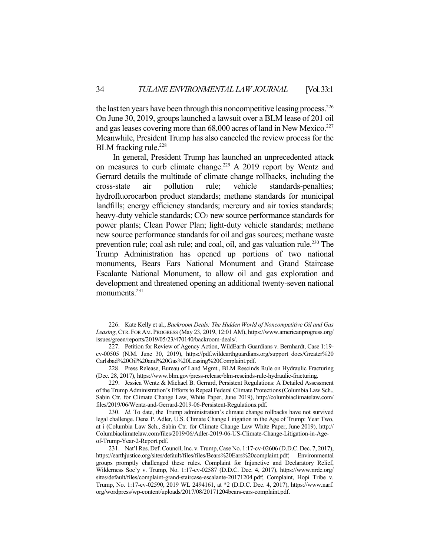the last ten years have been through this noncompetitive leasing process.<sup>226</sup> On June 30, 2019, groups launched a lawsuit over a BLM lease of 201 oil and gas leases covering more than  $68,000$  acres of land in New Mexico.<sup>227</sup> Meanwhile, President Trump has also canceled the review process for the BLM fracking rule.<sup>228</sup>

 In general, President Trump has launched an unprecedented attack on measures to curb climate change.229 A 2019 report by Wentz and Gerrard details the multitude of climate change rollbacks, including the cross-state air pollution rule; vehicle standards-penalties; hydrofluorocarbon product standards; methane standards for municipal landfills; energy efficiency standards; mercury and air toxics standards; heavy-duty vehicle standards; CO<sub>2</sub> new source performance standards for power plants; Clean Power Plan; light-duty vehicle standards; methane new source performance standards for oil and gas sources; methane waste prevention rule; coal ash rule; and coal, oil, and gas valuation rule.<sup>230</sup> The Trump Administration has opened up portions of two national monuments, Bears Ears National Monument and Grand Staircase Escalante National Monument, to allow oil and gas exploration and development and threatened opening an additional twenty-seven national monuments.<sup>231</sup>

 <sup>226.</sup> Kate Kelly et al., *Backroom Deals: The Hidden World of Noncompetitive Oil and Gas Leasing*, CTR. FOR AM. PROGRESS (May 23, 2019, 12:01 AM), https://www.americanprogress.org/ issues/green/reports/2019/05/23/470140/backroom-deals/.

 <sup>227.</sup> Petition for Review of Agency Action, WildEarth Guardians v. Bernhardt, Case 1:19 cv-00505 (N.M. June 30, 2019), https://pdf.wildearthguardians.org/support\_docs/Greater%20 Carlsbad%20Oil%20and%20Gas%20Leasing%20Complaint.pdf.

 <sup>228.</sup> Press Release, Bureau of Land Mgmt., BLM Rescinds Rule on Hydraulic Fracturing (Dec. 28, 2017), https://www.blm.gov/press-release/blm-rescinds-rule-hydraulic-fracturing.

 <sup>229.</sup> Jessica Wentz & Michael B. Gerrard, Persistent Regulations: A Detailed Assessment of the Trump Administration's Efforts to Repeal Federal Climate Protections(Columbia Law Sch., Sabin Ctr. for Climate Change Law, White Paper, June 2019), http://columbiaclimatelaw.com/ files/2019/06/Wentz-and-Gerrard-2019-06-Persistent-Regulations.pdf.

 <sup>230.</sup> *Id.* To date, the Trump administration's climate change rollbacks have not survived legal challenge. Dena P. Adler, U.S. Climate Change Litigation in the Age of Trump: Year Two, at i (Columbia Law Sch., Sabin Ctr. for Climate Change Law White Paper, June 2019), http:// Columbiaclimatelaw.com/files/2019/06/Adler-2019-06-US-Climate-Change-Litigation-in-Ageof-Trump-Year-2-Report.pdf.

 <sup>231.</sup> Nat'l Res. Def. Council, Inc. v. Trump, Case No. 1:17-cv-02606 (D.D.C. Dec. 7, 2017), https://earthjustice.org/sites/default/files/files/Bears%20Ears%20complaint.pdf; Environmental groups promptly challenged these rules. Complaint for Injunctive and Declaratory Relief, Wilderness Soc'y v. Trump, No. 1:17-cv-02587 (D.D.C. Dec. 4, 2017), https://www.nrdc.org/ sites/default/files/complaint-grand-staircase-escalante-20171204.pdf; Complaint, Hopi Tribe v. Trump, No. 1:17-cv-02590, 2019 WL 2494161, at \*2 (D.D.C. Dec. 4, 2017), https://www.narf. org/wordpress/wp-content/uploads/2017/08/20171204bears-ears-complaint.pdf.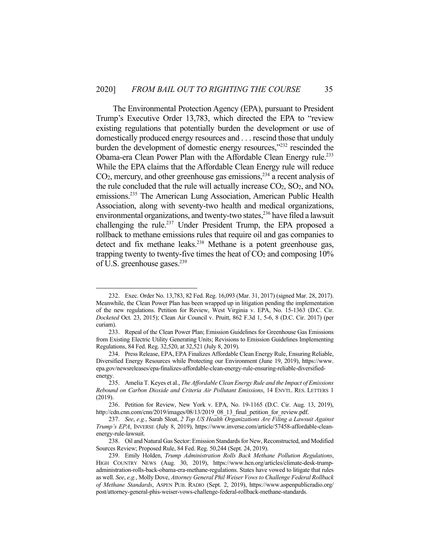The Environmental Protection Agency (EPA), pursuant to President Trump's Executive Order 13,783, which directed the EPA to "review existing regulations that potentially burden the development or use of domestically produced energy resources and . . . rescind those that unduly burden the development of domestic energy resources,"232 rescinded the Obama-era Clean Power Plan with the Affordable Clean Energy rule.<sup>233</sup> While the EPA claims that the Affordable Clean Energy rule will reduce  $CO<sub>2</sub>$ , mercury, and other greenhouse gas emissions,  $^{234}$  a recent analysis of the rule concluded that the rule will actually increase  $CO_2$ ,  $SO_2$ , and  $NO<sub>x</sub>$ emissions.235 The American Lung Association, American Public Health Association, along with seventy-two health and medical organizations, environmental organizations, and twenty-two states,<sup>236</sup> have filed a lawsuit challenging the rule.<sup>237</sup> Under President Trump, the EPA proposed a rollback to methane emissions rules that require oil and gas companies to detect and fix methane leaks.<sup>238</sup> Methane is a potent greenhouse gas, trapping twenty to twenty-five times the heat of CO<sub>2</sub> and composing 10% of U.S. greenhouse gases.<sup>239</sup>

 <sup>232.</sup> Exec. Order No. 13,783, 82 Fed. Reg. 16,093 (Mar. 31, 2017) (signed Mar. 28, 2017). Meanwhile, the Clean Power Plan has been wrapped up in litigation pending the implementation of the new regulations. Petition for Review, West Virginia v. EPA, No. 15-1363 (D.C. Cir. *Docketed* Oct. 23, 2015); Clean Air Council v. Pruitt, 862 F.3d 1, 5-6, 8 (D.C. Cir. 2017) (per curiam).

 <sup>233.</sup> Repeal of the Clean Power Plan; Emission Guidelines for Greenhouse Gas Emissions from Existing Electric Utility Generating Units; Revisions to Emission Guidelines Implementing Regulations, 84 Fed. Reg. 32,520, at 32,521 (July 8, 2019).

 <sup>234.</sup> Press Release, EPA, EPA Finalizes Affordable Clean Energy Rule, Ensuring Reliable, Diversified Energy Resources while Protecting our Environment (June 19, 2019), https://www. epa.gov/newsreleases/epa-finalizes-affordable-clean-energy-rule-ensuring-reliable-diversifiedenergy.

 <sup>235.</sup> Amelia T. Keyes et al., *The Affordable Clean Energy Rule and the Impact of Emissions Rebound on Carbon Dioxide and Criteria Air Pollutant Emissions*, 14 ENVTL. RES. LETTERS 1 (2019).

 <sup>236.</sup> Petition for Review, New York v. EPA, No. 19-1165 (D.C. Cir. Aug. 13, 2019), http://cdn.cnn.com/cnn/2019/images/08/13/2019\_08\_13\_final\_petition\_for\_review.pdf.

 <sup>237.</sup> *See*, *e.g.*, Sarah Sloat, *2 Top US Health Organizations Are Filing a Lawsuit Against Trump's EPA*, INVERSE (July 8, 2019), https://www.inverse.com/article/57458-affordable-cleanenergy-rule-lawsuit.

 <sup>238.</sup> Oil and Natural Gas Sector: Emission Standards for New, Reconstructed, and Modified Sources Review; Proposed Rule, 84 Fed. Reg. 50,244 (Sept. 24, 2019).

 <sup>239.</sup> Emily Holden, *Trump Administration Rolls Back Methane Pollution Regulations*, HIGH COUNTRY NEWS (Aug. 30, 2019), https://www.hcn.org/articles/climate-desk-trumpadministration-rolls-back-obama-era-methane-regulations. States have vowed to litigate that rules as well. *See*, *e.g.*, Molly Dove, *Attorney General Phil Weiser Vows to Challenge Federal Rollback of Methane Standards*, ASPEN PUB. RADIO (Sept. 2, 2019), https://www.aspenpublicradio.org/ post/attorney-general-phis-weiser-vows-challenge-federal-rollback-methane-standards.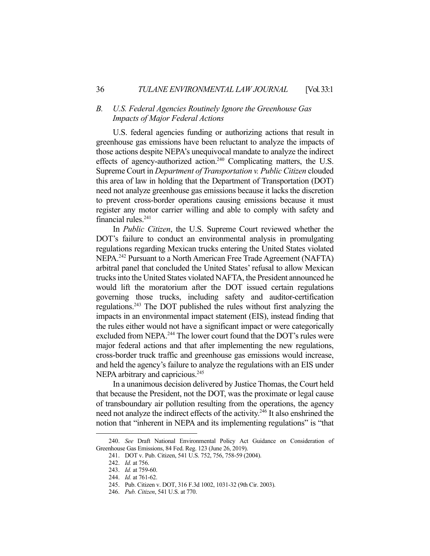#### *B. U.S. Federal Agencies Routinely Ignore the Greenhouse Gas Impacts of Major Federal Actions*

 U.S. federal agencies funding or authorizing actions that result in greenhouse gas emissions have been reluctant to analyze the impacts of those actions despite NEPA's unequivocal mandate to analyze the indirect effects of agency-authorized action.<sup>240</sup> Complicating matters, the U.S. Supreme Court in *Department of Transportation v. Public Citizen* clouded this area of law in holding that the Department of Transportation (DOT) need not analyze greenhouse gas emissions because it lacks the discretion to prevent cross-border operations causing emissions because it must register any motor carrier willing and able to comply with safety and financial rules. $241$ 

 In *Public Citizen*, the U.S. Supreme Court reviewed whether the DOT's failure to conduct an environmental analysis in promulgating regulations regarding Mexican trucks entering the United States violated NEPA.<sup>242</sup> Pursuant to a North American Free Trade Agreement (NAFTA) arbitral panel that concluded the United States' refusal to allow Mexican trucks into the United States violated NAFTA, the President announced he would lift the moratorium after the DOT issued certain regulations governing those trucks, including safety and auditor-certification regulations.243 The DOT published the rules without first analyzing the impacts in an environmental impact statement (EIS), instead finding that the rules either would not have a significant impact or were categorically excluded from NEPA.<sup>244</sup> The lower court found that the DOT's rules were major federal actions and that after implementing the new regulations, cross-border truck traffic and greenhouse gas emissions would increase, and held the agency's failure to analyze the regulations with an EIS under NEPA arbitrary and capricious.<sup>245</sup>

 In a unanimous decision delivered by Justice Thomas, the Court held that because the President, not the DOT, was the proximate or legal cause of transboundary air pollution resulting from the operations, the agency need not analyze the indirect effects of the activity.<sup>246</sup> It also enshrined the notion that "inherent in NEPA and its implementing regulations" is "that

 <sup>240.</sup> *See* Draft National Environmental Policy Act Guidance on Consideration of Greenhouse Gas Emissions, 84 Fed. Reg. 123 (June 26, 2019).

 <sup>241.</sup> DOT v. Pub. Citizen, 541 U.S. 752, 756, 758-59 (2004).

 <sup>242.</sup> *Id.* at 756.

 <sup>243.</sup> *Id.* at 759-60.

 <sup>244.</sup> *Id.* at 761-62.

 <sup>245.</sup> Pub. Citizen v. DOT, 316 F.3d 1002, 1031-32 (9th Cir. 2003).

 <sup>246.</sup> *Pub. Citizen*, 541 U.S. at 770.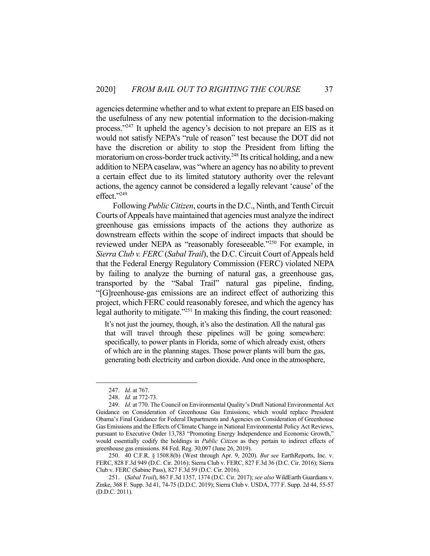agencies determine whether and to what extent to prepare an EIS based on the usefulness of any new potential information to the decision-making process."247 It upheld the agency's decision to not prepare an EIS as it would not satisfy NEPA's "rule of reason" test because the DOT did not have the discretion or ability to stop the President from lifting the moratorium on cross-border truck activity.<sup>248</sup> Its critical holding, and a new addition to NEPA caselaw, was "where an agency has no ability to prevent a certain effect due to its limited statutory authority over the relevant actions, the agency cannot be considered a legally relevant 'cause' of the effect."249

 Following *Public Citizen*, courts in the D.C., Ninth, and Tenth Circuit Courts of Appeals have maintained that agencies must analyze the indirect greenhouse gas emissions impacts of the actions they authorize as downstream effects within the scope of indirect impacts that should be reviewed under NEPA as "reasonably foreseeable."<sup>250</sup> For example, in *Sierra Club v. FERC* (*Sabal Trail*), the D.C. Circuit Court of Appeals held that the Federal Energy Regulatory Commission (FERC) violated NEPA by failing to analyze the burning of natural gas, a greenhouse gas, transported by the "Sabal Trail" natural gas pipeline, finding, "[G]reenhouse-gas emissions are an indirect effect of authorizing this project, which FERC could reasonably foresee, and which the agency has legal authority to mitigate."<sup>251</sup> In making this finding, the court reasoned:

It's not just the journey, though, it's also the destination. All the natural gas that will travel through these pipelines will be going somewhere: specifically, to power plants in Florida, some of which already exist, others of which are in the planning stages. Those power plants will burn the gas, generating both electricity and carbon dioxide. And once in the atmosphere,

 250. 40 C.F.R. § 1508.8(b) (West through Apr. 9, 2020). *But see* EarthReports, Inc. v. FERC, 828 F.3d 949 (D.C. Cir. 2016); Sierra Club v. FERC, 827 F.3d 36 (D.C. Cir. 2016); Sierra Club v. FERC (Sabine Pass), 827 F.3d 59 (D.C. Cir. 2016).

 251. (*Sabal Trail*), 867 F.3d 1357, 1374 (D.C. Cir. 2017); *see also* WildEarth Guardians v. Zinke, 368 F. Supp. 3d 41, 74-75 (D.D.C. 2019); Sierra Club v. USDA, 777 F. Supp. 2d 44, 55-57 (D.D.C. 2011).

 <sup>247.</sup> *Id*. at 767.

 <sup>248.</sup> *Id.* at 772-73.

 <sup>249.</sup> *Id.* at 770. The Council on Environmental Quality's Draft National Environmental Act Guidance on Consideration of Greenhouse Gas Emissions, which would replace President Obama's Final Guidance for Federal Departments and Agencies on Consideration of Greenhouse Gas Emissions and the Effects of Climate Change in National Environmental Policy Act Reviews, pursuant to Executive Order 13,783 "Promoting Energy Independence and Economic Growth," would essentially codify the holdings in *Public Citizen* as they pertain to indirect effects of greenhouse gas emissions. 84 Fed. Reg. 30,097 (June 26, 2019).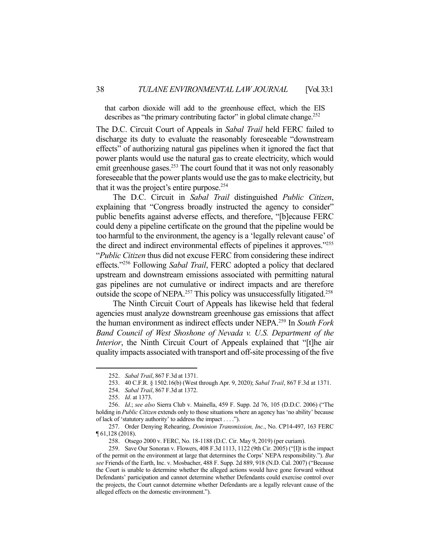that carbon dioxide will add to the greenhouse effect, which the EIS describes as "the primary contributing factor" in global climate change.<sup>252</sup>

The D.C. Circuit Court of Appeals in *Sabal Trail* held FERC failed to discharge its duty to evaluate the reasonably foreseeable "downstream effects" of authorizing natural gas pipelines when it ignored the fact that power plants would use the natural gas to create electricity, which would emit greenhouse gases.<sup>253</sup> The court found that it was not only reasonably foreseeable that the power plants would use the gas to make electricity, but that it was the project's entire purpose.<sup>254</sup>

 The D.C. Circuit in *Sabal Trail* distinguished *Public Citizen*, explaining that "Congress broadly instructed the agency to consider" public benefits against adverse effects, and therefore, "[b]ecause FERC could deny a pipeline certificate on the ground that the pipeline would be too harmful to the environment, the agency is a 'legally relevant cause' of the direct and indirect environmental effects of pipelines it approves."255 "*Public Citizen* thus did not excuse FERC from considering these indirect effects."256 Following *Sabal Trail*, FERC adopted a policy that declared upstream and downstream emissions associated with permitting natural gas pipelines are not cumulative or indirect impacts and are therefore outside the scope of NEPA.<sup>257</sup> This policy was unsuccessfully litigated.<sup>258</sup>

 The Ninth Circuit Court of Appeals has likewise held that federal agencies must analyze downstream greenhouse gas emissions that affect the human environment as indirect effects under NEPA.259 In *South Fork Band Council of West Shoshone of Nevada v. U.S. Department of the Interior*, the Ninth Circuit Court of Appeals explained that "[t]he air quality impacts associated with transport and off-site processing of the five

 <sup>252.</sup> *Sabal Trail*, 867 F.3d at 1371.

 <sup>253. 40</sup> C.F.R. § 1502.16(b) (West through Apr. 9, 2020); *Sabal Trail*, 867 F.3d at 1371.

 <sup>254.</sup> *Sabal Trail*, 867 F.3d at 1372.

 <sup>255.</sup> *Id*. at 1373.

 <sup>256.</sup> *Id*.; *see also* Sierra Club v. Mainella, 459 F. Supp. 2d 76, 105 (D.D.C. 2006) ("The holding in *Public Citizen* extends only to those situations where an agency has 'no ability' because of lack of 'statutory authority' to address the impact . . . .").

 <sup>257.</sup> Order Denying Rehearing, *Dominion Transmission, Inc.*, No. CP14-497, 163 FERC ¶ 61,128 (2018).

 <sup>258.</sup> Otsego 2000 v. FERC, No. 18-1188 (D.C. Cir. May 9, 2019) (per curiam).

 <sup>259.</sup> Save Our Sonoran v. Flowers, 408 F.3d 1113, 1122 (9th Cir. 2005) ("[I]t is the impact of the permit on the environment at large that determines the Corps' NEPA responsibility."). *But see* Friends of the Earth, Inc. v. Mosbacher, 488 F. Supp. 2d 889, 918 (N.D. Cal. 2007) ("Because the Court is unable to determine whether the alleged actions would have gone forward without Defendants' participation and cannot determine whether Defendants could exercise control over the projects, the Court cannot determine whether Defendants are a legally relevant cause of the alleged effects on the domestic environment.").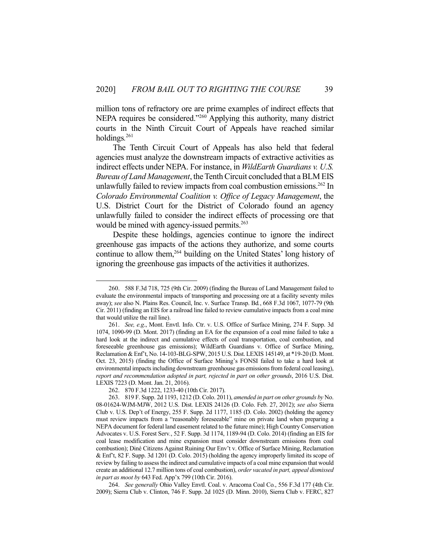million tons of refractory ore are prime examples of indirect effects that NEPA requires be considered."<sup>260</sup> Applying this authority, many district courts in the Ninth Circuit Court of Appeals have reached similar holdings*.* 261

 The Tenth Circuit Court of Appeals has also held that federal agencies must analyze the downstream impacts of extractive activities as indirect effects under NEPA. For instance, in *WildEarth Guardians v. U.S. Bureau of Land Management*, the Tenth Circuit concluded that a BLM EIS unlawfully failed to review impacts from coal combustion emissions.<sup>262</sup> In *Colorado Environmental Coalition v. Office of Legacy Management*, the U.S. District Court for the District of Colorado found an agency unlawfully failed to consider the indirect effects of processing ore that would be mined with agency-issued permits.<sup>263</sup>

 Despite these holdings, agencies continue to ignore the indirect greenhouse gas impacts of the actions they authorize, and some courts continue to allow them,<sup>264</sup> building on the United States' long history of ignoring the greenhouse gas impacts of the activities it authorizes.

 <sup>260. 588</sup> F.3d 718, 725 (9th Cir. 2009) (finding the Bureau of Land Management failed to evaluate the environmental impacts of transporting and processing ore at a facility seventy miles away); *see* also N. Plains Res. Council, Inc. v. Surface Transp. Bd*.*, 668 F.3d 1067, 1077-79 (9th Cir. 2011) (finding an EIS for a railroad line failed to review cumulative impacts from a coal mine that would utilize the rail line).

 <sup>261.</sup> *See, e.g*., Mont. Envtl. Info. Ctr. v. U.S. Office of Surface Mining, 274 F. Supp. 3d 1074, 1090-99 (D. Mont. 2017) (finding an EA for the expansion of a coal mine failed to take a hard look at the indirect and cumulative effects of coal transportation, coal combustion, and foreseeable greenhouse gas emissions); WildEarth Guardians v. Office of Surface Mining, Reclamation & Enf't, No. 14-103-BLG-SPW, 2015 U.S. Dist. LEXIS 145149, at \*19-20 (D. Mont. Oct. 23, 2015) (finding the Office of Surface Mining's FONSI failed to take a hard look at environmental impacts including downstream greenhouse gas emissions from federal coal leasing), *report and recommendation adopted in part, rejected in part on other grounds*, 2016 U.S. Dist. LEXIS 7223 (D. Mont. Jan. 21, 2016).

 <sup>262. 870</sup> F.3d 1222, 1233-40 (10th Cir. 2017).

 <sup>263. 819</sup> F. Supp. 2d 1193, 1212 (D. Colo. 2011), *amended in part on other grounds by* No. 08-01624-WJM-MJW, 2012 U.S. Dist. LEXIS 24126 (D. Colo. Feb. 27, 2012); *see also* Sierra Club v. U.S. Dep't of Energy, 255 F. Supp. 2d 1177, 1185 (D. Colo. 2002) (holding the agency must review impacts from a "reasonably foreseeable" mine on private land when preparing a NEPA document for federal land easement related to the future mine); High Country Conservation Advocates v. U.S. Forest Serv*.*, 52 F. Supp. 3d 1174, 1189-94 (D. Colo. 2014) (finding an EIS for coal lease modification and mine expansion must consider downstream emissions from coal combustion); Diné Citizens Against Ruining Our Env't v. Office of Surface Mining, Reclamation & Enf't, 82 F. Supp. 3d 1201 (D. Colo. 2015) (holding the agency improperly limited its scope of review by failing to assess the indirect and cumulative impacts of a coal mine expansion that would create an additional 12.7 million tons of coal combustion), *order vacated in part, appeal dismissed in part as moot by* 643 Fed. App'x 799 (10th Cir. 2016).

 <sup>264.</sup> *See generally* Ohio Valley Envtl. Coal. v. Aracoma Coal Co*.*, 556 F.3d 177 (4th Cir. 2009); Sierra Club v. Clinton, 746 F. Supp. 2d 1025 (D. Minn. 2010), Sierra Club v. FERC, 827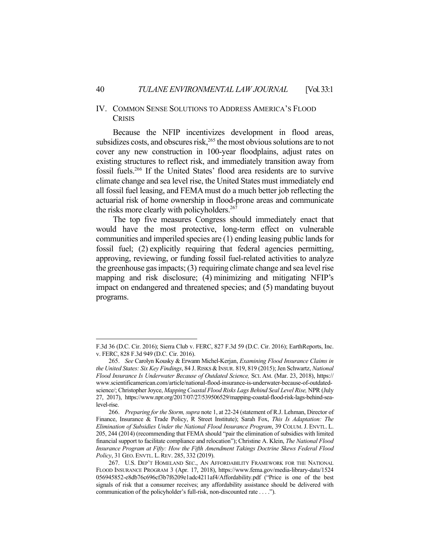#### IV. COMMON SENSE SOLUTIONS TO ADDRESS AMERICA'S FLOOD **CRISIS**

 Because the NFIP incentivizes development in flood areas, subsidizes costs, and obscures risk, $^{265}$  the most obvious solutions are to not cover any new construction in 100-year floodplains, adjust rates on existing structures to reflect risk, and immediately transition away from fossil fuels.266 If the United States' flood area residents are to survive climate change and sea level rise, the United States must immediately end all fossil fuel leasing, and FEMA must do a much better job reflecting the actuarial risk of home ownership in flood-prone areas and communicate the risks more clearly with policyholders.<sup>267</sup>

 The top five measures Congress should immediately enact that would have the most protective, long-term effect on vulnerable communities and imperiled species are (1) ending leasing public lands for fossil fuel; (2) explicitly requiring that federal agencies permitting, approving, reviewing, or funding fossil fuel-related activities to analyze the greenhouse gas impacts; (3) requiring climate change and sea level rise mapping and risk disclosure; (4) minimizing and mitigating NFIP's impact on endangered and threatened species; and (5) mandating buyout programs.

F.3d 36 (D.C. Cir. 2016); Sierra Club v. FERC, 827 F.3d 59 (D.C. Cir. 2016); EarthReports, Inc. v. FERC, 828 F.3d 949 (D.C. Cir. 2016).

 <sup>265.</sup> *See* Carolyn Kousky & Erwann Michel-Kerjan, *Examining Flood Insurance Claims in the United States: Six Key Findings*, 84 J. RISKS &INSUR. 819, 819 (2015); Jen Schwartz, *National Flood Insurance Is Underwater Because of Outdated Science,* SCI. AM. (Mar. 23, 2018), https:// www.scientificamerican.com/article/national-flood-insurance-is-underwater-because-of-outdatedscience/; Christopher Joyce, *Mapping Coastal Flood Risks Lags Behind Seal Level Rise,* NPR (July 27, 2017), https://www.npr.org/2017/07/27/539506529/mapping-coastal-flood-risk-lags-behind-sealevel-rise.

 <sup>266.</sup> *Preparing for the Storm, supra* note 1, at 22-24 (statement of R.J. Lehman, Director of Finance, Insurance & Trade Policy, R Street Institute); Sarah Fox, *This Is Adaptation: The Elimination of Subsidies Under the National Flood Insurance Program*, 39 COLUM. J. ENVTL. L. 205, 244 (2014) (recommending that FEMA should "pair the elimination of subsidies with limited financial support to facilitate compliance and relocation"); Christine A. Klein, *The National Flood Insurance Program at Fifty: How the Fifth Amendment Takings Doctrine Skews Federal Flood Policy*, 31 GEO. ENVTL. L.REV. 285, 332 (2019).

 <sup>267.</sup> U.S. DEP'T HOMELAND SEC., AN AFFORDABILITY FRAMEWORK FOR THE NATIONAL FLOOD INSURANCE PROGRAM 3 (Apr. 17, 2018), https://www.fema.gov/media-library-data/1524 056945852-e8db76c696cf3b7f6209e1adc4211af4/Affordability.pdf ("Price is one of the best signals of risk that a consumer receives; any affordability assistance should be delivered with communication of the policyholder's full-risk, non-discounted rate . . . .").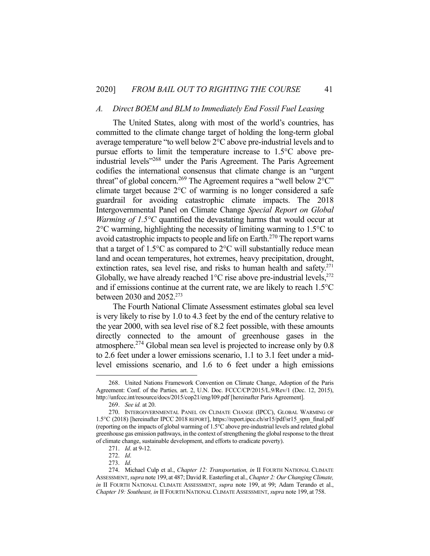#### *A. Direct BOEM and BLM to Immediately End Fossil Fuel Leasing*

 The United States, along with most of the world's countries, has committed to the climate change target of holding the long-term global average temperature "to well below 2°C above pre-industrial levels and to pursue efforts to limit the temperature increase to 1.5°C above preindustrial levels"268 under the Paris Agreement. The Paris Agreement codifies the international consensus that climate change is an "urgent threat" of global concern.<sup>269</sup> The Agreement requires a "well below  $2^{\circ}$ C" climate target because 2°C of warming is no longer considered a safe guardrail for avoiding catastrophic climate impacts. The 2018 Intergovernmental Panel on Climate Change *Special Report on Global Warming of 1.5°C* quantified the devastating harms that would occur at 2°C warming, highlighting the necessity of limiting warming to 1.5°C to avoid catastrophic impacts to people and life on Earth.<sup>270</sup> The report warns that a target of  $1.5^{\circ}$ C as compared to  $2^{\circ}$ C will substantially reduce mean land and ocean temperatures, hot extremes, heavy precipitation, drought, extinction rates, sea level rise, and risks to human health and safety. $271$ Globally, we have already reached  $1^{\circ}$ C rise above pre-industrial levels,<sup>272</sup> and if emissions continue at the current rate, we are likely to reach 1.5°C between 2030 and 2052.<sup>273</sup>

 The Fourth National Climate Assessment estimates global sea level is very likely to rise by 1.0 to 4.3 feet by the end of the century relative to the year 2000, with sea level rise of 8.2 feet possible, with these amounts directly connected to the amount of greenhouse gases in the atmosphere.274 Global mean sea level is projected to increase only by 0.8 to 2.6 feet under a lower emissions scenario, 1.1 to 3.1 feet under a midlevel emissions scenario, and 1.6 to 6 feet under a high emissions

 <sup>268.</sup> United Nations Framework Convention on Climate Change, Adoption of the Paris Agreement: Conf. of the Parties*,* art. 2, U.N. Doc. FCCC/CP/2015/L.9/Rev/1 (Dec. 12, 2015), http://unfccc.int/resource/docs/2015/cop21/eng/l09.pdf [hereinafter Paris Agreement].

 <sup>269.</sup> *See id.* at 20.

 <sup>270.</sup> INTERGOVERNMENTAL PANEL ON CLIMATE CHANGE (IPCC), GLOBAL WARMING OF 1.5°C (2018) [hereinafter IPCC 2018 REPORT], https://report.ipcc.ch/sr15/pdf/sr15\_spm\_final.pdf (reporting on the impacts of global warming of 1.5°C above pre-industrial levels and related global greenhouse gas emission pathways, in the context of strengthening the global response to the threat of climate change, sustainable development, and efforts to eradicate poverty).

 <sup>271.</sup> *Id*. at 9-12.

 <sup>272.</sup> *Id*.

 <sup>273.</sup> *Id*.

 <sup>274.</sup> Michael Culp et al., *Chapter 12: Transportation, in* II FOURTH NATIONAL CLIMATE ASSESSMENT, *supra* note 199, at 487; David R. Easterling et al., *Chapter 2: Our Changing Climate, in* II FOURTH NATIONAL CLIMATE ASSESSMENT, *supra* note 199, at 99; Adam Terando et al., *Chapter 19: Southeast, in* II FOURTH NATIONAL CLIMATE ASSESSMENT, *supra* note 199, at 758.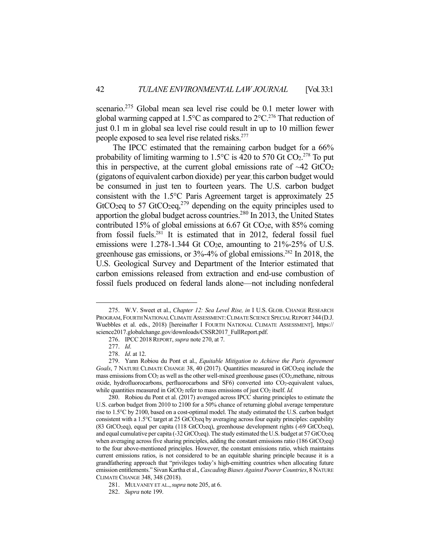scenario.<sup>275</sup> Global mean sea level rise could be 0.1 meter lower with global warming capped at 1.5 $\degree$ C as compared to 2 $\degree$ C.<sup>276</sup> That reduction of just 0.1 m in global sea level rise could result in up to 10 million fewer people exposed to sea level rise related risks.277

 The IPCC estimated that the remaining carbon budget for a 66% probability of limiting warming to  $1.5^{\circ}$ C is 420 to 570 Gt CO<sub>2</sub>.<sup>278</sup> To put this in perspective, at the current global emissions rate of  $\sim$ 42 GtCO<sub>2</sub> (gigatons of equivalent carbon dioxide) per year, this carbon budget would be consumed in just ten to fourteen years. The U.S. carbon budget consistent with the 1.5°C Paris Agreement target is approximately 25 GtCO<sub>2</sub>eq to 57 GtCO<sub>2</sub>eq,<sup>279</sup> depending on the equity principles used to apportion the global budget across countries.<sup>280</sup> In 2013, the United States contributed 15% of global emissions at  $6.67$  Gt CO<sub>2</sub>e, with 85% coming from fossil fuels.281 It is estimated that in 2012, federal fossil fuel emissions were 1.278-1.344 Gt CO<sub>2</sub>e, amounting to  $21\%$ -25% of U.S. greenhouse gas emissions, or 3%-4% of global emissions.282 In 2018, the U.S. Geological Survey and Department of the Interior estimated that carbon emissions released from extraction and end-use combustion of fossil fuels produced on federal lands alone—not including nonfederal

 <sup>275.</sup> W.V. Sweet et al., *Chapter 12: Sea Level Rise, in* I U.S. GLOB. CHANGE RESEARCH PROGRAM, FOURTH NATIONAL CLIMATE ASSESSMENT:CLIMATE SCIENCE SPECIAL REPORT 344(D.J. Wuebbles et al. eds., 2018) [hereinafter I FOURTH NATIONAL CLIMATE ASSESSMENT], https:// science2017.globalchange.gov/downloads/CSSR2017\_FullReport.pdf.

 <sup>276.</sup> IPCC2018REPORT, *supra* note 270, at 7.

 <sup>277.</sup> *Id*.

 <sup>278.</sup> *Id*. at 12.

 <sup>279.</sup> Yann Robiou du Pont et al., *Equitable Mitigation to Achieve the Paris Agreement*  Goals, 7 NATURE CLIMATE CHANGE 38, 40 (2017). Quantities measured in GtCO<sub>2</sub>eq include the mass emissions from CO2 as well as the other well-mixed greenhouse gases (CO2,methane, nitrous oxide, hydrofluorocarbons, perfluorocarbons and SF6) converted into CO<sub>2</sub>-equivalent values, while quantities measured in GtCO<sub>2</sub> refer to mass emissions of just CO<sub>2</sub> itself. *Id.* 

 <sup>280.</sup> Robiou du Pont et al. (2017) averaged across IPCC sharing principles to estimate the U.S. carbon budget from 2010 to 2100 for a 50% chance of returning global average temperature rise to 1.5°C by 2100, based on a cost-optimal model. The study estimated the U.S. carbon budget consistent with a 1.5°C target at 25 GtCO<sub>2</sub>eq by averaging across four equity principles: capability (83 GtCO2eq), equal per capita (118 GtCO2eq), greenhouse development rights (-69 GtCO2eq), and equal cumulative per capita (-32 GtCO<sub>2</sub>eq). The study estimated the U.S. budget at 57 GtCO<sub>2</sub>eq when averaging across five sharing principles, adding the constant emissions ratio  $(186 \text{ GtCO}_2\text{eq})$ to the four above-mentioned principles. However, the constant emissions ratio, which maintains current emissions ratios, is not considered to be an equitable sharing principle because it is a grandfathering approach that "privileges today's high-emitting countries when allocating future emission entitlements." Sivan Kartha et al., *Cascading Biases Against Poorer Countries*, 8 NATURE CLIMATE CHANGE 348, 348 (2018).

 <sup>281.</sup> MULVANEY ET AL.,*supra* note 205, at 6.

 <sup>282.</sup> *Supra* note 199.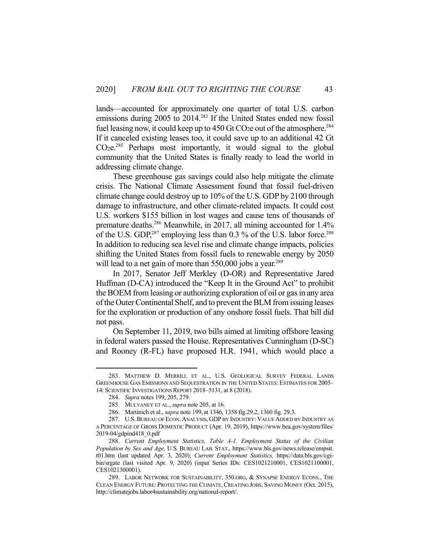lands—accounted for approximately one quarter of total U.S. carbon emissions during 2005 to 2014.<sup>283</sup> If the United States ended new fossil fuel leasing now, it could keep up to  $450$  Gt CO<sub>2</sub>e out of the atmosphere.<sup>284</sup> If it canceled existing leases too, it could save up to an additional 42 Gt CO2e.285 Perhaps most importantly, it would signal to the global community that the United States is finally ready to lead the world in addressing climate change.

 These greenhouse gas savings could also help mitigate the climate crisis. The National Climate Assessment found that fossil fuel-driven climate change could destroy up to 10% of the U.S. GDP by 2100 through damage to infrastructure, and other climate-related impacts. It could cost U.S. workers \$155 billion in lost wages and cause tens of thousands of premature deaths.<sup>286</sup> Meanwhile, in 2017, all mining accounted for 1.4% of the U.S. GDP, $^{287}$  employing less than 0.3 % of the U.S. labor force.<sup>288</sup> In addition to reducing sea level rise and climate change impacts, policies shifting the United States from fossil fuels to renewable energy by 2050 will lead to a net gain of more than  $550,000$  jobs a year.<sup>289</sup>

 In 2017, Senator Jeff Merkley (D-OR) and Representative Jared Huffman (D-CA) introduced the "Keep It in the Ground Act" to prohibit the BOEM from leasing or authorizing exploration of oil or gas in any area of the Outer Continental Shelf, and to prevent the BLM from issuing leases for the exploration or production of any onshore fossil fuels. That bill did not pass.

 On September 11, 2019, two bills aimed at limiting offshore leasing in federal waters passed the House. Representatives Cunningham (D-SC) and Rooney (R-FL) have proposed H.R. 1941, which would place a

 <sup>283.</sup> MATTHEW D. MERRILL ET AL., U.S. GEOLOGICAL SURVEY FEDERAL LANDS GREENHOUSE GAS EMISSIONS AND SEQUESTRATION IN THE UNITED STATES: ESTIMATES FOR 2005– 14: SCIENTIFIC INVESTIGATIONS REPORT 2018–5131, at 8 (2018).

 <sup>284.</sup> *Supra* notes 199, 205, 279.

 <sup>285.</sup> MULVANEY ET AL.,*supra* note 205, at 16.

 <sup>286.</sup> Martinich et al., *supra* note 199, at 1346, 1358 fig.29.2, 1360 fig. 29.3.

 <sup>287.</sup> U.S.BUREAU OF ECON. ANALYSIS, GDP BY INDUSTRY: VALUE ADDED BY INDUSTRY AS A PERCENTAGE OF GROSS DOMESTIC PRODUCT (Apr. 19, 2019), https://www.bea.gov/system/files/ 2019-04/gdpind418\_0.pdf

 <sup>288.</sup> *Current Employment Statistics, Table A-1. Employment Status of the Civilian Population by Sex and Age,* U.S. BUREAU LAB. STAT., https://www.bls.gov/news.release/empsit. t01.htm (last updated Apr. 3, 2020); *Current Employment Statistics,* https://data.bls.gov/cgibin/srgate (last visited Apr. 9, 2020) (input Series IDs: CES1021210001, CES1021100001, CES1021300001).

<sup>289.</sup> LABOR NETWORK FOR SUSTAINABILITY, 350.ORG, & SYNAPSE ENERGY ECONS., THE CLEAN ENERGY FUTURE: PROTECTING THE CLIMATE,CREATING JOBS, SAVING MONEY (Oct. 2015), http://climatejobs.labor4sustainability.org/national-report/.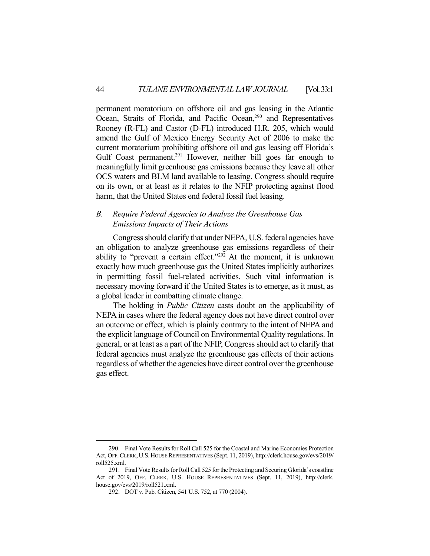permanent moratorium on offshore oil and gas leasing in the Atlantic Ocean, Straits of Florida, and Pacific Ocean,<sup>290</sup> and Representatives Rooney (R-FL) and Castor (D-FL) introduced H.R. 205, which would amend the Gulf of Mexico Energy Security Act of 2006 to make the current moratorium prohibiting offshore oil and gas leasing off Florida's Gulf Coast permanent.<sup>291</sup> However, neither bill goes far enough to meaningfully limit greenhouse gas emissions because they leave all other OCS waters and BLM land available to leasing. Congress should require on its own, or at least as it relates to the NFIP protecting against flood harm, that the United States end federal fossil fuel leasing.

#### *B. Require Federal Agencies to Analyze the Greenhouse Gas Emissions Impacts of Their Actions*

 Congress should clarify that under NEPA, U.S. federal agencies have an obligation to analyze greenhouse gas emissions regardless of their ability to "prevent a certain effect."<sup>292</sup> At the moment, it is unknown exactly how much greenhouse gas the United States implicitly authorizes in permitting fossil fuel-related activities. Such vital information is necessary moving forward if the United States is to emerge, as it must, as a global leader in combatting climate change.

 The holding in *Public Citizen* casts doubt on the applicability of NEPA in cases where the federal agency does not have direct control over an outcome or effect, which is plainly contrary to the intent of NEPA and the explicit language of Council on Environmental Quality regulations. In general, or at least as a part of the NFIP, Congress should act to clarify that federal agencies must analyze the greenhouse gas effects of their actions regardless of whether the agencies have direct control over the greenhouse gas effect.

 <sup>290.</sup> Final Vote Results for Roll Call 525 for the Coastal and Marine Economies Protection Act, OFF.CLERK,U.S.HOUSE REPRESENTATIVES (Sept. 11, 2019), http://clerk.house.gov/evs/2019/ roll525.xml.

 <sup>291.</sup> Final Vote Results for Roll Call 525 for the Protecting and Securing Glorida's coastline Act of 2019, OFF. CLERK, U.S. HOUSE REPRESENTATIVES (Sept. 11, 2019), http://clerk. house.gov/evs/2019/roll521.xml.

 <sup>292.</sup> DOT v. Pub. Citizen, 541 U.S. 752, at 770 (2004).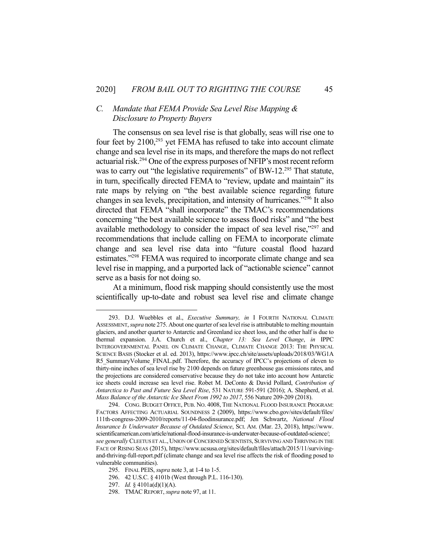## *C. Mandate that FEMA Provide Sea Level Rise Mapping & Disclosure to Property Buyers*

 The consensus on sea level rise is that globally, seas will rise one to four feet by  $2100<sup>293</sup>$  yet FEMA has refused to take into account climate change and sea level rise in its maps, and therefore the maps do not reflect actuarial risk.294 One of the express purposes of NFIP's most recent reform was to carry out "the legislative requirements" of BW-12.<sup>295</sup> That statute, in turn, specifically directed FEMA to "review, update and maintain" its rate maps by relying on "the best available science regarding future changes in sea levels, precipitation, and intensity of hurricanes."296 It also directed that FEMA "shall incorporate" the TMAC's recommendations concerning "the best available science to assess flood risks" and "the best available methodology to consider the impact of sea level rise,"297 and recommendations that include calling on FEMA to incorporate climate change and sea level rise data into "future coastal flood hazard estimates."<sup>298</sup> FEMA was required to incorporate climate change and sea level rise in mapping, and a purported lack of "actionable science" cannot serve as a basis for not doing so.

 At a minimum, flood risk mapping should consistently use the most scientifically up-to-date and robust sea level rise and climate change

 <sup>293.</sup> D.J. Wuebbles et al., *Executive Summary, in* I FOURTH NATIONAL CLIMATE ASSESSMENT, *supra* note 275. About one quarter of sea level rise is attributable to melting mountain glaciers, and another quarter to Antarctic and Greenland ice sheet loss, and the other half is due to thermal expansion. J.A. Church et al., *Chapter 13: Sea Level Change*, *in* IPPC INTERGOVERNMENTAL PANEL ON CLIMATE CHANGE, CLIMATE CHANGE 2013: THE PHYSICAL SCIENCE BASIS (Stocker et al. ed. 2013), https://www.ipcc.ch/site/assets/uploads/2018/03/WG1A R5 SummaryVolume FINAL.pdf. Therefore, the accuracy of IPCC's projections of eleven to thirty-nine inches of sea level rise by 2100 depends on future greenhouse gas emissions rates, and the projections are considered conservative because they do not take into account how Antarctic ice sheets could increase sea level rise. Robet M. DeConto & David Pollard, *Contribution of Antarctica to Past and Future Sea Level Rise*, 531 NATURE 591-591 (2016); A. Shepherd, et al. *Mass Balance of the Antarctic Ice Sheet From 1992 to 2017*, 556 Nature 209-209 (2018).

 <sup>294.</sup> CONG. BUDGET OFFICE, PUB. NO. 4008, THE NATIONAL FLOOD INSURANCE PROGRAM: FACTORS AFFECTING ACTUARIAL SOUNDNESS 2 (2009), https://www.cbo.gov/sites/default/files/ 111th-congress-2009-2010/reports/11-04-floodinsurance.pdf; Jen Schwartz, *National Flood Insurance Is Underwater Because of Outdated Science*, SCI. AM. (Mar. 23, 2018), https://www. scientificamerican.com/article/national-flood-insurance-is-underwater-because-of-outdated-science/; *see generally* CLEETUS ET AL.,UNION OF CONCERNED SCIENTISTS, SURVIVING AND THRIVING IN THE FACE OF RISING SEAS (2015), https://www.ucsusa.org/sites/default/files/attach/2015/11/survivingand-thriving-full-report.pdf (climate change and sea level rise affects the risk of flooding posed to vulnerable communities).

 <sup>295.</sup> FINAL PEIS, *supra* note 3, at 1-4 to 1-5.

 <sup>296. 42</sup> U.S.C. § 4101b (West through P.L. 116-130).

 <sup>297.</sup> *Id.* § 4101a(d)(1)(A).

 <sup>298.</sup> TMACREPORT, *supra* note 97, at 11.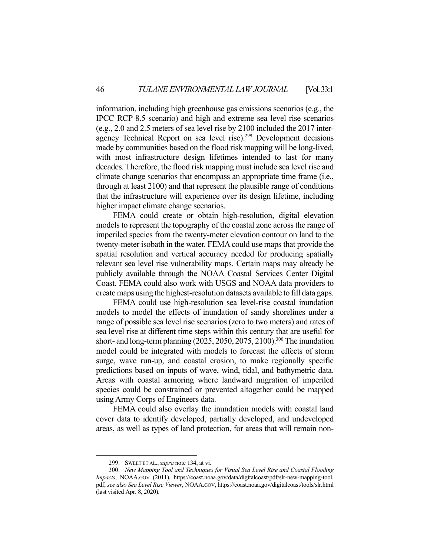information, including high greenhouse gas emissions scenarios (e.g., the IPCC RCP 8.5 scenario) and high and extreme sea level rise scenarios (e.g., 2.0 and 2.5 meters of sea level rise by 2100 included the 2017 interagency Technical Report on sea level rise).<sup>299</sup> Development decisions made by communities based on the flood risk mapping will be long-lived, with most infrastructure design lifetimes intended to last for many decades. Therefore, the flood risk mapping must include sea level rise and climate change scenarios that encompass an appropriate time frame (i.e., through at least 2100) and that represent the plausible range of conditions that the infrastructure will experience over its design lifetime, including higher impact climate change scenarios.

 FEMA could create or obtain high-resolution, digital elevation models to represent the topography of the coastal zone across the range of imperiled species from the twenty-meter elevation contour on land to the twenty-meter isobath in the water. FEMA could use maps that provide the spatial resolution and vertical accuracy needed for producing spatially relevant sea level rise vulnerability maps. Certain maps may already be publicly available through the NOAA Coastal Services Center Digital Coast. FEMA could also work with USGS and NOAA data providers to create maps using the highest-resolution datasets available to fill data gaps.

 FEMA could use high-resolution sea level-rise coastal inundation models to model the effects of inundation of sandy shorelines under a range of possible sea level rise scenarios (zero to two meters) and rates of sea level rise at different time steps within this century that are useful for short- and long-term planning  $(2025, 2050, 2075, 2100)$ .<sup>300</sup> The inundation model could be integrated with models to forecast the effects of storm surge, wave run-up, and coastal erosion, to make regionally specific predictions based on inputs of wave, wind, tidal, and bathymetric data. Areas with coastal armoring where landward migration of imperiled species could be constrained or prevented altogether could be mapped using Army Corps of Engineers data.

 FEMA could also overlay the inundation models with coastal land cover data to identify developed, partially developed, and undeveloped areas, as well as types of land protection, for areas that will remain non-

 <sup>299.</sup> SWEET ET AL.,*supra* note 134, at vi.

 <sup>300.</sup> *New Mapping Tool and Techniques for Visual Sea Level Rise and Coastal Flooding Impacts*, NOAA.GOV (2011), https://coast.noaa.gov/data/digitalcoast/pdf/slr-new-mapping-tool. pdf; *see also Sea Level Rise Viewer*, NOAA.GOV, https://coast.noaa.gov/digitalcoast/tools/slr.html (last visited Apr. 8, 2020).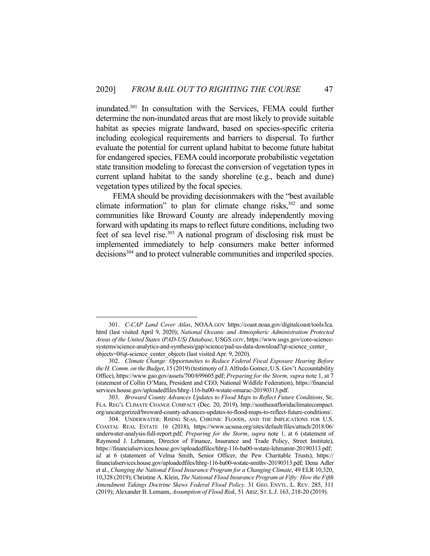inundated.301 In consultation with the Services, FEMA could further determine the non-inundated areas that are most likely to provide suitable habitat as species migrate landward, based on species-specific criteria including ecological requirements and barriers to dispersal. To further evaluate the potential for current upland habitat to become future habitat for endangered species, FEMA could incorporate probabilistic vegetation state transition modeling to forecast the conversion of vegetation types in current upland habitat to the sandy shoreline (e.g., beach and dune) vegetation types utilized by the focal species.

 FEMA should be providing decisionmakers with the "best available climate information" to plan for climate change risks, $302$  and some communities like Broward County are already independently moving forward with updating its maps to reflect future conditions, including two feet of sea level rise.<sup>303</sup> A national program of disclosing risk must be implemented immediately to help consumers make better informed decisions<sup>304</sup> and to protect vulnerable communities and imperiled species.

 <sup>301.</sup> *C-CAP Land Cover Atlas*, NOAA.GOV https://coast.noaa.gov/digitalcoast/tools/lca. html (last visited April 9, 2020); *National Oceanic and Atmospheric Administration Protected Areas of the United States (PAD-US) Database*, USGS.GOV, https://www.usgs.gov/core-sciencesystems/science-analytics-and-synthesis/gap/science/pad-us-data-download?qt-science\_center\_ objects=0#qt-science\_center\_objects (last visited Apr. 9, 2020).

 <sup>302.</sup> *Climate Change: Opportunities to Reduce Federal Fiscal Exposure Hearing Before the H. Comm. on the Budget*, 15 (2019) (testimony of J. Alfredo Gomez, U.S. Gov't Accountability Office), https://www.gao.gov/assets/700/699605.pdf; *Preparing for the Storm, supra* note 1, at 7 (statement of Collin O'Mara, President and CEO, National Wildlife Federation), https://financial services.house.gov/uploadedfiles/hhrg-116-ba00-wstate-omarac-20190313.pdf.

 <sup>303.</sup> *Broward County Advances Updates to Flood Maps to Reflect Future Conditions*, SE. FLA. REG'L CLIMATE CHANGE COMPACT (Dec. 20, 2019), http://southeastfloridaclimatecompact. org/uncategorized/broward-county-advances-updates-to-flood-maps-to-reflect-future-conditions/.

 <sup>304.</sup> UNDERWATER: RISING SEAS, CHRONIC FLOODS, AND THE IMPLICATIONS FOR U.S. COASTAL REAL ESTATE 16 (2018), https://www.ucsusa.org/sites/default/files/attach/2018/06/ underwater-analysis-full-report.pdf; *Preparing for the Storm*, *supra* note 1, at 6 (statement of Raymond J. Lehmann, Director of Finance, Insurance and Trade Policy, Street Institute), https://financialservices.house.gov/uploadedfiles/hhrg-116-ba00-wstate-lehmannr-20190313.pdf; *id.* at 6 (statement of Velma Smith, Senior Officer, the Pew Charitable Trusts), https:// financialservices.house.gov/uploadedfiles/hhrg-116-ba00-wstate-smithv-20190313.pdf; Dena Adler et al., *Changing the National Flood Insurance Program for a Changing Climate*, 49 ELR 10,320, 10,328 (2019); Christine A. Klein, *The National Flood Insurance Program at Fifty: How the Fifth Amendment Takings Doctrine Skews Federal Flood Policy*. 31 GEO. ENVTL. L. REV. 285, 311 (2019); Alexander B. Lemann, *Assumption of Flood Risk*, 51 ARIZ. ST. L.J. 163, 218-20 (2019).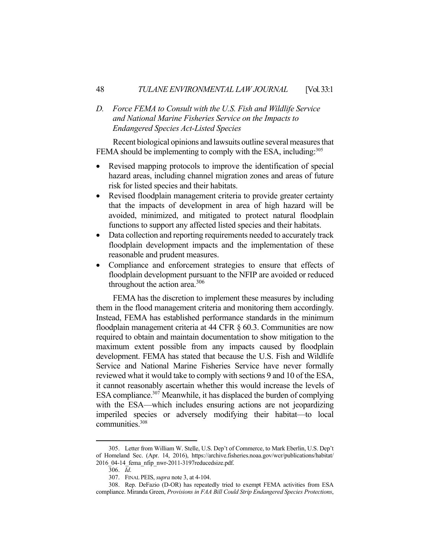# *D. Force FEMA to Consult with the U.S. Fish and Wildlife Service and National Marine Fisheries Service on the Impacts to Endangered Species Act-Listed Species*

 Recent biological opinions and lawsuits outline several measures that FEMA should be implementing to comply with the ESA, including:<sup>305</sup>

- Revised mapping protocols to improve the identification of special hazard areas, including channel migration zones and areas of future risk for listed species and their habitats.
- Revised floodplain management criteria to provide greater certainty that the impacts of development in area of high hazard will be avoided, minimized, and mitigated to protect natural floodplain functions to support any affected listed species and their habitats.
- Data collection and reporting requirements needed to accurately track floodplain development impacts and the implementation of these reasonable and prudent measures.
- Compliance and enforcement strategies to ensure that effects of floodplain development pursuant to the NFIP are avoided or reduced throughout the action area. $306$

 FEMA has the discretion to implement these measures by including them in the flood management criteria and monitoring them accordingly. Instead, FEMA has established performance standards in the minimum floodplain management criteria at 44 CFR § 60.3. Communities are now required to obtain and maintain documentation to show mitigation to the maximum extent possible from any impacts caused by floodplain development. FEMA has stated that because the U.S. Fish and Wildlife Service and National Marine Fisheries Service have never formally reviewed what it would take to comply with sections 9 and 10 of the ESA, it cannot reasonably ascertain whether this would increase the levels of ESA compliance.<sup>307</sup> Meanwhile, it has displaced the burden of complying with the ESA—which includes ensuring actions are not jeopardizing imperiled species or adversely modifying their habitat—to local communities.308

 <sup>305.</sup> Letter from William W. Stelle, U.S. Dep't of Commerce, to Mark Eberlin, U.S. Dep't of Homeland Sec. (Apr. 14, 2016), https://archive.fisheries.noaa.gov/wcr/publications/habitat/ 2016\_04-14\_fema\_nfip\_nwr-2011-3197reducedsize.pdf.

 <sup>306.</sup> *Id*.

 <sup>307.</sup> FINAL PEIS, *supra* note 3, at 4-104.

 <sup>308.</sup> Rep. DeFazio (D-OR) has repeatedly tried to exempt FEMA activities from ESA compliance. Miranda Green, *Provisions in FAA Bill Could Strip Endangered Species Protections*,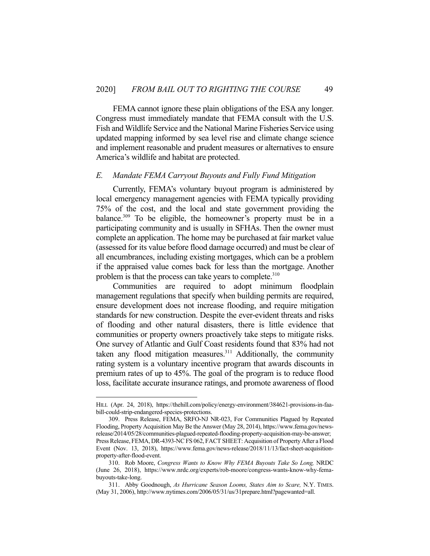FEMA cannot ignore these plain obligations of the ESA any longer. Congress must immediately mandate that FEMA consult with the U.S. Fish and Wildlife Service and the National Marine Fisheries Service using updated mapping informed by sea level rise and climate change science and implement reasonable and prudent measures or alternatives to ensure America's wildlife and habitat are protected.

#### *E. Mandate FEMA Carryout Buyouts and Fully Fund Mitigation*

 Currently, FEMA's voluntary buyout program is administered by local emergency management agencies with FEMA typically providing 75% of the cost, and the local and state government providing the balance.<sup>309</sup> To be eligible, the homeowner's property must be in a participating community and is usually in SFHAs. Then the owner must complete an application. The home may be purchased at fair market value (assessed for its value before flood damage occurred) and must be clear of all encumbrances, including existing mortgages, which can be a problem if the appraised value comes back for less than the mortgage. Another problem is that the process can take years to complete.<sup>310</sup>

 Communities are required to adopt minimum floodplain management regulations that specify when building permits are required, ensure development does not increase flooding, and require mitigation standards for new construction. Despite the ever-evident threats and risks of flooding and other natural disasters, there is little evidence that communities or property owners proactively take steps to mitigate risks. One survey of Atlantic and Gulf Coast residents found that 83% had not taken any flood mitigation measures. $311$  Additionally, the community rating system is a voluntary incentive program that awards discounts in premium rates of up to 45%. The goal of the program is to reduce flood loss, facilitate accurate insurance ratings, and promote awareness of flood

HILL (Apr. 24, 2018), https://thehill.com/policy/energy-environment/384621-provisions-in-faabill-could-strip-endangered-species-protections.

 <sup>309.</sup> Press Release, FEMA, SRFO-NJ NR-023, For Communities Plagued by Repeated Flooding, Property Acquisition May Be the Answer (May 28, 2014), https://www.fema.gov/newsrelease/2014/05/28/communities-plagued-repeated-flooding-property-acquisition-may-be-answer; Press Release, FEMA, DR-4393-NC FS 062, FACT SHEET: Acquisition of Property After a Flood Event (Nov. 13, 2018), https://www.fema.gov/news-release/2018/11/13/fact-sheet-acquisitionproperty-after-flood-event.

 <sup>310.</sup> Rob Moore, *Congress Wants to Know Why FEMA Buyouts Take So Long,* NRDC (June 26, 2018), https://www.nrdc.org/experts/rob-moore/congress-wants-know-why-femabuyouts-take-long.

 <sup>311.</sup> Abby Goodnough, *As Hurricane Season Looms, States Aim to Scare,* N.Y. TIMES. (May 31, 2006), http://www.nytimes.com/2006/05/31/us/31prepare.html?pagewanted=all.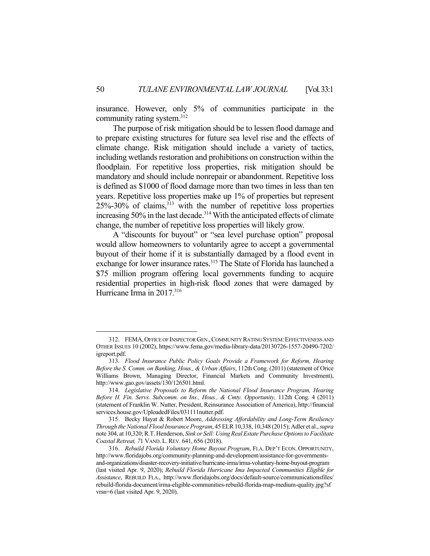insurance. However, only 5% of communities participate in the community rating system.<sup>312</sup>

 The purpose of risk mitigation should be to lessen flood damage and to prepare existing structures for future sea level rise and the effects of climate change. Risk mitigation should include a variety of tactics, including wetlands restoration and prohibitions on construction within the floodplain. For repetitive loss properties, risk mitigation should be mandatory and should include nonrepair or abandonment. Repetitive loss is defined as \$1000 of flood damage more than two times in less than ten years. Repetitive loss properties make up 1% of properties but represent  $25\% - 30\%$  of claims,  $313$  with the number of repetitive loss properties increasing 50% in the last decade.<sup>314</sup> With the anticipated effects of climate change, the number of repetitive loss properties will likely grow.

 A "discounts for buyout" or "sea level purchase option" proposal would allow homeowners to voluntarily agree to accept a governmental buyout of their home if it is substantially damaged by a flood event in exchange for lower insurance rates.<sup>315</sup> The State of Florida has launched a \$75 million program offering local governments funding to acquire residential properties in high-risk flood zones that were damaged by Hurricane Irma in 2017.<sup>316</sup>

<sup>312.</sup> FEMA, OFFICE OF INSPECTOR GEN., COMMUNITY RATING SYSTEM: EFFECTIVENESS AND OTHER ISSUES 10 (2002), https://www.fema.gov/media-library-data/20130726-1557-20490-7202/ igreport.pdf.

 <sup>313.</sup> *Flood Insurance Public Policy Goals Provide a Framework for Reform, Hearing Before the S. Comm. on Banking, Hous., & Urban Affairs*, 112th Cong. (2011) (statement of Orice Williams Brown, Managing Director, Financial Markets and Community Investment), http://www.gao.gov/assets/130/126501.html.

 <sup>314.</sup> *Legislative Proposals to Reform the National Flood Insurance Program, Hearing Before H. Fin. Servs. Subcomm. on Ins., Hous., & Cmty. Opportunity,* 112th Cong. 4 (2011) (statement of Franklin W. Nutter, President, Reinsurance Association of America), http://financial services.house.gov/UploadedFiles/031111nutter.pdf.

 <sup>315.</sup> Becky Hayat & Robert Moore, *Addressing Affordability and Long-Term Resiliency Through the National Flood Insurance Program*, 45 ELR 10,338, 10,348 (2015); Adler et al., *supra* note 304, at 10,320; R.T. Henderson, *Sink or Sell: Using Real Estate Purchase Options to Facilitate Coastal Retreat, 7*1 VAND. L.REV. 641, 656 (2018).

 <sup>316.</sup> *Rebuild Florida Voluntary Home Buyout Program*, FLA. DEP'T ECON. OPPORTUNITY, http://www.floridajobs.org/community-planning-and-development/assistance-for-governmentsand-organizations/disaster-recovery-initiative/hurricane-irma/irma-voluntary-home-buyout-program (last visited Apr. 9, 2020); *Rebuild Florida Hurricane Ima Impacted Communities Eligible for Assistance*, REBUILD FLA., http://www.floridajobs.org/docs/default-source/communicationsfiles/ rebuild-florida-document/irma-eligible-communities-rebuild-florida-map-medium-quality.jpg?sf vrsn=6 (last visited Apr. 9, 2020).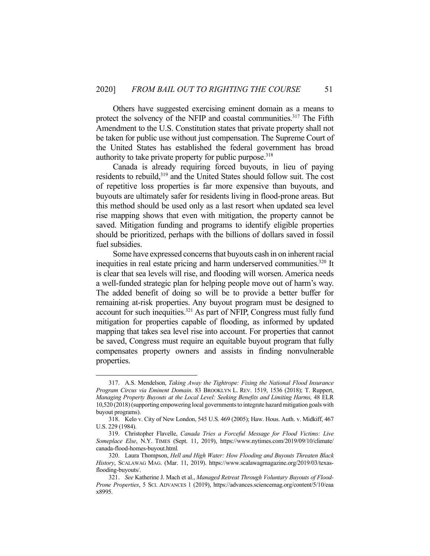Others have suggested exercising eminent domain as a means to protect the solvency of the NFIP and coastal communities.<sup>317</sup> The Fifth Amendment to the U.S. Constitution states that private property shall not be taken for public use without just compensation. The Supreme Court of the United States has established the federal government has broad authority to take private property for public purpose.<sup>318</sup>

 Canada is already requiring forced buyouts, in lieu of paying residents to rebuild,<sup>319</sup> and the United States should follow suit. The cost of repetitive loss properties is far more expensive than buyouts, and buyouts are ultimately safer for residents living in flood-prone areas. But this method should be used only as a last resort when updated sea level rise mapping shows that even with mitigation, the property cannot be saved. Mitigation funding and programs to identify eligible properties should be prioritized, perhaps with the billions of dollars saved in fossil fuel subsidies.

 Some have expressed concerns that buyouts cash in on inherent racial inequities in real estate pricing and harm underserved communities.<sup>320</sup> It is clear that sea levels will rise, and flooding will worsen. America needs a well-funded strategic plan for helping people move out of harm's way. The added benefit of doing so will be to provide a better buffer for remaining at-risk properties. Any buyout program must be designed to account for such inequities.321 As part of NFIP, Congress must fully fund mitigation for properties capable of flooding, as informed by updated mapping that takes sea level rise into account. For properties that cannot be saved, Congress must require an equitable buyout program that fully compensates property owners and assists in finding nonvulnerable properties.

 <sup>317.</sup> A.S. Mendelson, *Taking Away the Tightrope: Fixing the National Flood Insurance Program Circus via Eminent Domain*. 83 BROOKLYN L. REV. 1519, 1536 (2018); T. Ruppert, *Managing Property Buyouts at the Local Level: Seeking Benefits and Limiting Harms,* 48 ELR 10,520 (2018) (supporting empowering local governments to integrate hazard mitigation goals with buyout programs).

 <sup>318.</sup> Kelo v. City of New London, 545 U.S. 469 (2005); Haw. Hous. Auth. v. Midkiff, 467 U.S. 229 (1984).

 <sup>319.</sup> Christopher Flavelle, *Canada Tries a Forceful Message for Flood Victims: Live Someplace Else*, N.Y. TIMES (Sept. 11, 2019), https://www.nytimes.com/2019/09/10/climate/ canada-flood-homes-buyout.html*.*

 <sup>320.</sup> Laura Thompson, *Hell and High Water: How Flooding and Buyouts Threaten Black History*, SCALAWAG MAG. (Mar. 11, 2019). https://www.scalawagmagazine.org/2019/03/texasflooding-buyouts/.

 <sup>321.</sup> *See* Katherine J. Mach et al., *Managed Retreat Through Voluntary Buyouts of Flood-Prone Properties*, 5 SCI. ADVANCES 1 (2019), https://advances.sciencemag.org/content/5/10/eaa x8995.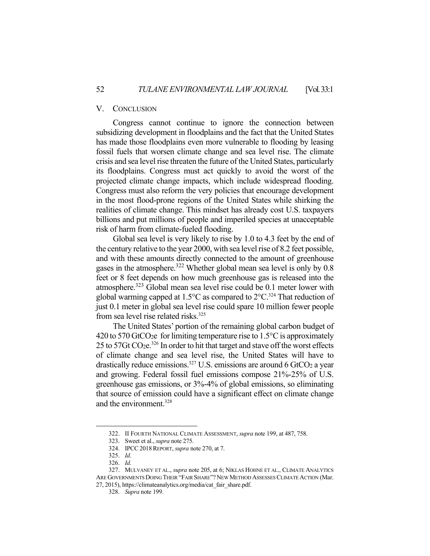#### V. CONCLUSION

 Congress cannot continue to ignore the connection between subsidizing development in floodplains and the fact that the United States has made those floodplains even more vulnerable to flooding by leasing fossil fuels that worsen climate change and sea level rise. The climate crisis and sea level rise threaten the future of the United States, particularly its floodplains. Congress must act quickly to avoid the worst of the projected climate change impacts, which include widespread flooding. Congress must also reform the very policies that encourage development in the most flood-prone regions of the United States while shirking the realities of climate change. This mindset has already cost U.S. taxpayers billions and put millions of people and imperiled species at unacceptable risk of harm from climate-fueled flooding.

 Global sea level is very likely to rise by 1.0 to 4.3 feet by the end of the century relative to the year 2000, with sea level rise of 8.2 feet possible, and with these amounts directly connected to the amount of greenhouse gases in the atmosphere.<sup>322</sup> Whether global mean sea level is only by 0.8 feet or 8 feet depends on how much greenhouse gas is released into the atmosphere.323 Global mean sea level rise could be 0.1 meter lower with global warming capped at 1.5 $\degree$ C as compared to 2 $\degree$ C.<sup>324</sup> That reduction of just 0.1 meter in global sea level rise could spare 10 million fewer people from sea level rise related risks.<sup>325</sup>

 The United States' portion of the remaining global carbon budget of 420 to 570 GtCO<sub>2</sub>e for limiting temperature rise to  $1.5^{\circ}$ C is approximately 25 to 57Gt CO2e.326 In order to hit that target and stave off the worst effects of climate change and sea level rise, the United States will have to drastically reduce emissions.<sup>327</sup> U.S. emissions are around 6 GtCO<sub>2</sub> a year and growing. Federal fossil fuel emissions compose 21%-25% of U.S. greenhouse gas emissions, or 3%-4% of global emissions, so eliminating that source of emission could have a significant effect on climate change and the environment.<sup>328</sup>

 <sup>322.</sup> II FOURTH NATIONAL CLIMATE ASSESSMENT, *supra* note 199, at 487, 758.

 <sup>323.</sup> Sweet et al., *supra* note 275.

 <sup>324.</sup> IPCC2018REPORT, *supra* note 270, at 7.

 <sup>325.</sup> *Id*.

 <sup>326.</sup> *Id*.

 <sup>327.</sup> MULVANEY ET AL., *supra* note 205, at 6; NIKLAS HOHNE ET AL., CLIMATE ANALYTICS ARE GOVERNMENTS DOING THEIR "FAIR SHARE"? NEW METHOD ASSESSES CLIMATE ACTION (Mar. 27, 2015), https://climateanalytics.org/media/cat\_fair\_share.pdf.

<sup>328.</sup> *Supra* note 199.